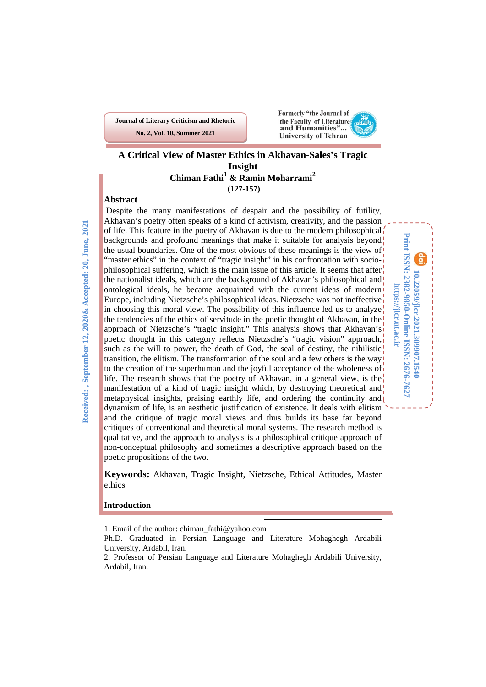**Journal of Literary Criticism and Rhetoric No. 2, Vol. 10, Summer 2021**



### **A Critical View of Master Ethics in Akhavan-Sales's Tragic Insight Chiman Fathi[1](#page-0-0) & Ramin Moharrami[2](#page-0-1) (127-157)**

### **Abstract**

Received:, September 12, 2020& Accepted: 20, June, 2021 **Received: , September 12, 2020& Accepted: 20, June, 2021**

Despite the many manifestations of despair and the possibility of futility, Akhavan's poetry often speaks of a kind of activism, creativity, and the passion of life. This feature in the poetry of Akhavan is due to the modern philosophical backgrounds and profound meanings that make it suitable for analysis beyond the usual boundaries. One of the most obvious of these meanings is the view of "master ethics" in the context of "tragic insight" in his confrontation with sociophilosophical suffering, which is the main issue of this article. It seems that after the nationalist ideals, which are the background of Akhavan's philosophical and ontological ideals, he became acquainted with the current ideas of modern Europe, including Nietzsche's philosophical ideas. Nietzsche was not ineffective in choosing this moral view. The possibility of this influence led us to analyze the tendencies of the ethics of servitude in the poetic thought of Akhavan, in the approach of Nietzsche's "tragic insight." This analysis shows that Akhavan's poetic thought in this category reflects Nietzsche's "tragic vision" approach, such as the will to power, the death of God, the seal of destiny, the nihilistic $\frac{1}{2}$ transition, the elitism. The transformation of the soul and a few others is the way to the creation of the superhuman and the joyful acceptance of the wholeness of  $\mathbf{r}$ life. The research shows that the poetry of Akhavan, in a general view, is the manifestation of a kind of tragic insight which, by destroying theoretical and metaphysical insights, praising earthly life, and ordering the continuity and dynamism of life, is an aesthetic justification of existence. It deals with elitism and the critique of tragic moral views and thus builds its base far beyond critiques of conventional and theoretical moral systems. The research method is qualitative, and the approach to analysis is a philosophical critique approach of non-conceptual philosophy and sometimes a descriptive approach based on the poetic propositions of the two.

Print ISSN: 2382-9850-Online ISSN: 2676-7627 **Print ISSN: 2382-9850-Online ISSN: 2676-7627** 10.22059/jlcr.2021.309907.1540 **10.22059/jlcr.2021.309907.1540 https://jlcr.ut.ac.ir** https://jlcr.ut.ac.ir

**Keywords:** Akhavan, Tragic Insight, Nietzsche, Ethical Attitudes, Master ethics

#### **Introduction**

**.** 

<span id="page-0-0"></span><sup>1.</sup> Email of the author: chiman\_fathi@yahoo.com

<span id="page-0-1"></span>Ph.D. Graduated in Persian Language and Literature Mohaghegh Ardabili University, Ardabil, Iran.

<sup>2.</sup> Professor of Persian Language and Literature Mohaghegh Ardabili University, Ardabil, Iran.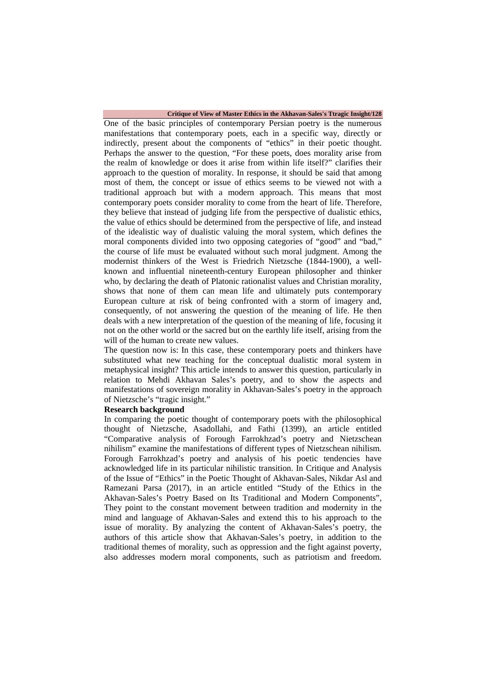#### **Critique of View of Master Ethics in the Akhavan-Sales's Ttragic Insight/128**

One of the basic principles of contemporary Persian poetry is the numerous manifestations that contemporary poets, each in a specific way, directly or indirectly, present about the components of "ethics" in their poetic thought. Perhaps the answer to the question, "For these poets, does morality arise from the realm of knowledge or does it arise from within life itself?" clarifies their approach to the question of morality. In response, it should be said that among most of them, the concept or issue of ethics seems to be viewed not with a traditional approach but with a modern approach. This means that most contemporary poets consider morality to come from the heart of life. Therefore, they believe that instead of judging life from the perspective of dualistic ethics, the value of ethics should be determined from the perspective of life, and instead of the idealistic way of dualistic valuing the moral system, which defines the moral components divided into two opposing categories of "good" and "bad," the course of life must be evaluated without such moral judgment. Among the modernist thinkers of the West is Friedrich Nietzsche (1844-1900), a wellknown and influential nineteenth-century European philosopher and thinker who, by declaring the death of Platonic rationalist values and Christian morality, shows that none of them can mean life and ultimately puts contemporary European culture at risk of being confronted with a storm of imagery and, consequently, of not answering the question of the meaning of life. He then deals with a new interpretation of the question of the meaning of life, focusing it not on the other world or the sacred but on the earthly life itself, arising from the will of the human to create new values.

The question now is: In this case, these contemporary poets and thinkers have substituted what new teaching for the conceptual dualistic moral system in metaphysical insight? This article intends to answer this question, particularly in relation to Mehdi Akhavan Sales's poetry, and to show the aspects and manifestations of sovereign morality in Akhavan-Sales's poetry in the approach of Nietzsche's "tragic insight."

#### **Research background**

In comparing the poetic thought of contemporary poets with the philosophical thought of Nietzsche, Asadollahi, and Fathi (1399), an article entitled "Comparative analysis of Forough Farrokhzad's poetry and Nietzschean nihilism" examine the manifestations of different types of Nietzschean nihilism. Forough Farrokhzad's poetry and analysis of his poetic tendencies have acknowledged life in its particular nihilistic transition. In Critique and Analysis of the Issue of "Ethics" in the Poetic Thought of Akhavan-Sales, Nikdar Asl and Ramezani Parsa (2017), in an article entitled "Study of the Ethics in the Akhavan-Sales's Poetry Based on Its Traditional and Modern Components", They point to the constant movement between tradition and modernity in the mind and language of Akhavan-Sales and extend this to his approach to the issue of morality. By analyzing the content of Akhavan-Sales's poetry, the authors of this article show that Akhavan-Sales's poetry, in addition to the traditional themes of morality, such as oppression and the fight against poverty, also addresses modern moral components, such as patriotism and freedom.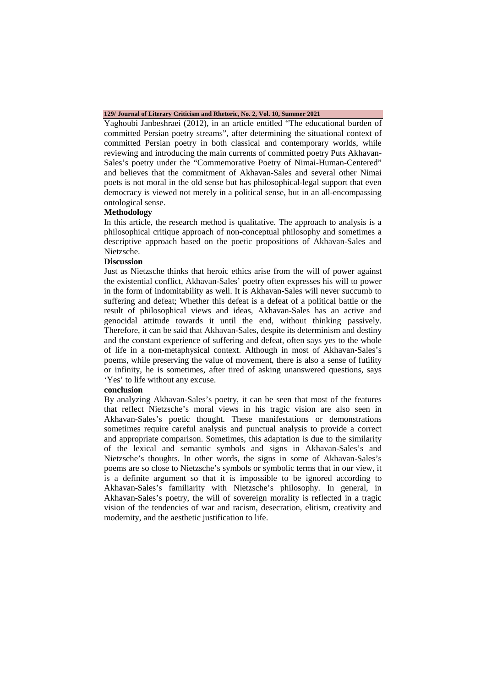#### **129/ Journal of Literary Criticism and Rhetoric, No. 2, Vol. 10, Summer 2021**

Yaghoubi Janbeshraei (2012), in an article entitled "The educational burden of committed Persian poetry streams", after determining the situational context of committed Persian poetry in both classical and contemporary worlds, while reviewing and introducing the main currents of committed poetry Puts Akhavan-Sales's poetry under the "Commemorative Poetry of Nimai-Human-Centered" and believes that the commitment of Akhavan-Sales and several other Nimai poets is not moral in the old sense but has philosophical-legal support that even democracy is viewed not merely in a political sense, but in an all-encompassing ontological sense.

### **Methodology**

In this article, the research method is qualitative. The approach to analysis is a philosophical critique approach of non-conceptual philosophy and sometimes a descriptive approach based on the poetic propositions of Akhavan-Sales and Nietzsche.

#### **Discussion**

Just as Nietzsche thinks that heroic ethics arise from the will of power against the existential conflict, Akhavan-Sales' poetry often expresses his will to power in the form of indomitability as well. It is Akhavan-Sales will never succumb to suffering and defeat; Whether this defeat is a defeat of a political battle or the result of philosophical views and ideas, Akhavan-Sales has an active and genocidal attitude towards it until the end, without thinking passively. Therefore, it can be said that Akhavan-Sales, despite its determinism and destiny and the constant experience of suffering and defeat, often says yes to the whole of life in a non-metaphysical context. Although in most of Akhavan-Sales's poems, while preserving the value of movement, there is also a sense of futility or infinity, he is sometimes, after tired of asking unanswered questions, says 'Yes' to life without any excuse.

#### **conclusion**

By analyzing Akhavan-Sales's poetry, it can be seen that most of the features that reflect Nietzsche's moral views in his tragic vision are also seen in Akhavan-Sales's poetic thought. These manifestations or demonstrations sometimes require careful analysis and punctual analysis to provide a correct and appropriate comparison. Sometimes, this adaptation is due to the similarity of the lexical and semantic symbols and signs in Akhavan-Sales's and Nietzsche's thoughts. In other words, the signs in some of Akhavan-Sales's poems are so close to Nietzsche's symbols or symbolic terms that in our view, it is a definite argument so that it is impossible to be ignored according to Akhavan-Sales's familiarity with Nietzsche's philosophy. In general, in Akhavan-Sales's poetry, the will of sovereign morality is reflected in a tragic vision of the tendencies of war and racism, desecration, elitism, creativity and modernity, and the aesthetic justification to life.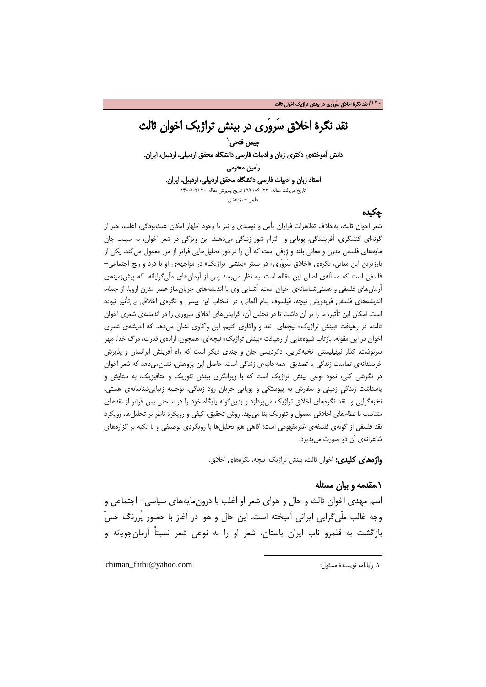## نقد نگرۀ اخلاق سَروَری در بینش تراژیک اخوان ثالث چیمن فتحی ٰ دانش آموختهی دکتری زبان و ادبیات فارسی دانشگاه محقق اردبیلی، اردبیل، ایرا[ن.](#page-3-0) رامین محرمی استاد زبان و ادبیات فارسی دانشگاه محقق اردبیلی، اردبیل، ایران. تاریخ دریافت مقاله: /22 /06 99 ؛ تاریخ پذیرش مقاله: 30 1400/03/ علمی - پژوهشی

### چکیده

شعر اخوان ثالث، بهخلاف تظاهرات فراوان یأس و نومیدی و نیز با وجود اظهار امکان عبثبودگی، اغلب، خبر از گونهای کنشگری، آفرینندگی، پویایی و التزام شور زندگی میدهـد. این ویژگی در شعر اخوان، به سبـب جان مایههای فلسفیِ مدرن و معانی بلند و ژرفی است که آن را درخورِ تحلیلهایی فراتر از مرز معمول میکند. یکی از بارزترین این معانی، نگرهی «اخلاق سَروَری» در بستر «بینشی تراژیک» در مواجههی او با درد و رنج اجتماعی- فلسفی است که مسألهی اصلی این مقاله است. به نظر میرسد پس از آرمانهای ملّیگرایانه، که پیشزمینهی آرمانهای فلسفی و هستیشناسانهی اخوان است، آشنایی وی با اندیشههای جریانساز عصر مدرن اروپا، از جمله، اندیشههای فلسفی فریدریش نیچه، فیلسوف بنام آلمانی، در انتخاب این بینش و نگرهی اخلاقی بیتأثیر نبوده است. امکان این تأثیر، ما را بر آن داشت تا در تحلیل آن، گرایشهای اخلاق سروری را در اندیشهی شعری اخوان ثالث، در رهیافت «بینش تراژیک» نیچهای نقد و واکاوی کنیم. این واکاوی نشان میدهد که اندیشهی شعری اخوان در این مقوله، بازتاب شیوههایی از رهیافت «بینش تراژیک» نیچهای، همچون: ارادهی قدرت، مرگ خدا، مِهر سرنوشت، گذار نیهیلیستی، نخبهگرایی، دگردیسی جان و چندی دیگر است که راه آفرینش ابرانسان و پذیرش خرسندانهی تمامیت زندگی یا تصدیق همهجانبهی زندگی است. حاصل این پژوهش، نشانمیدهد که شعر اخوان در نگرشی کلی، نمود نوعی بینش تراژیک است که با ویرانگری بینش تئوریک و متافیزیک، به ستایش و پاسداشت زندگیِ زمینی و سفارش به پیوستگی و پویایی جریان رود زندگی، توجـیه زیباییشناسانهی هستی، نخبهگرایی و نقد نگرههای اخلاق تراژیک میپردازد و بدینگونه پایگاه خود را در ساحتی بس فراتر از نقدهای متناسب با نظامهای اخلاقی معمول و تئوریک بنا مینهد. روش تحقیق، کیفی و رویکرد ناظر بر تحلیلها، رویکرد نقد فلسفی از گونهی فلسفهی غیرمفهومی است؛ گاهی هم تحلیلها با رویکردی توصیفی و با تکیه بر گزارههای شاعرانهی آن دو صورت میپذیرد.

**واژههای کلیدی:** اخوان ثالث، بینش تراژیک، نیچه، نگرههای اخلاق.

### .1مقدمه و بیان مسئله

اسم مهدی اخوان ثالث و حال و هوای شعر او اغلب با درونمایههای سیاسی- اجتماعی و وجه غالب ملّیگراییِ ایرانی آمیخته است. این حال و هوا در آغاز با حضور پُررنگ حسّ بازگشت به قلمرو ناب ایران باستان، شعر او را به نوعی شعر نسبتاً آرمانجویانه و

**.** 

<span id="page-3-0"></span>chiman\_fathi@yahoo.com :مسئول نویسندۀ رایانامه .1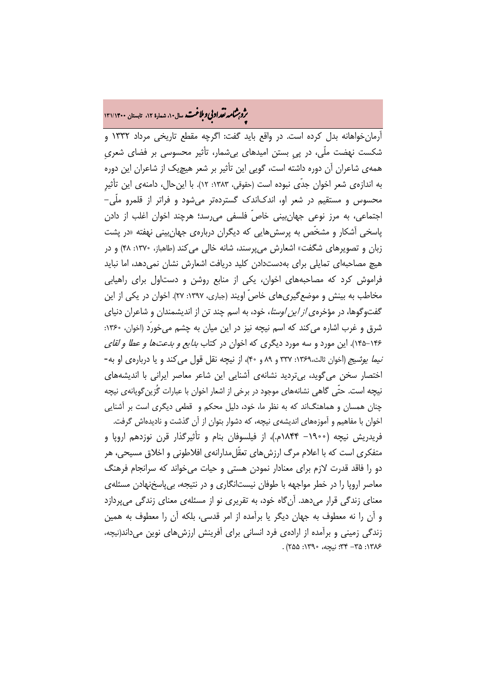# م**روبرشامه تقداد بي و بلاغت.** سال۱۰، شماره ۱۲، تابستان ۱۳۱/۱۴۰۰<br>پو

آرمانخواهانه بدل کرده است. در واقع باید گفت: اگرچه مقطع تاریخی مرداد 1332 و شکست نهضت ملّی، در پیِ بستن امیدهای بیشمار، تأثیر محسوسی بر فضای شعریِ همهی شاعران آن دوره داشته است، گویی این تأثیر بر شعر هیچیک از شاعران این دوره به اندازهی شعر اخوان جدّی نبوده است (حقوقی، :1383 12). با اینحال، دامنهی این تأثیرِ محسوس و مستقیم در شعر او، اندکاندک گستردهتر میشود و فراتر از قلمرو ملّی- اجتماعی، به مرز نوعی جهانبینی خاصّ فلسفی میرسد؛ هرچند اخوان اغلب از دادن پاسخی آشکار و مشخّص به پرسشهایی که دیگران دربارهی جهانبینی نهفته «در پشت زبان و تصویرهای شگفت» اشعارش میپرسند، شانه خالی میکند (طاهباز، :1370 48) و در هیچ مصاحبهای تمایلی برای بهدستدادن کلید دریافت اشعارش نشان نمیدهد، اما نباید فراموش کرد که مصاحبههای اخوان، یکی از منابع روشن و دستاول برای راهیابی مخاطب به بینش و موضعگیریهای خاصّ اویند (جباری، :1397 27). اخوان در یکی از این گفتوگوها، در مؤخرهی *از این اوستا*، خود، به اسم چند تن از اندیشمندان و شاعران دنیای شرق و غرب اشاره می کند که اسم نیچه نیز در این میان به چشم می خورد (اخوان، ١٣۶۰: 145-146). این مورد و سه مورد دیگری که اخوان در کتاب بدایع و بدعتها و عطا و لقای نیما یوشیج (اخوان ثالث:1369، 337 و 89 و 40)، از نیچه نقل قول میکند و یا دربارهی او به- اختصار سخن میگوید، بیتردید نشانهی آشنایی این شاعر معاصر ایرانی با اندیشههای نیچه است. حتّی گاهی نشانههای موجود در برخی از اشعار اخوان با عبارات گُزینگویانهی نیچه چنان همسان و هماهنگاند که به نظر ما، خود، دلیل محکم و قطعی دیگری است بر آشنایی اخوان با مفاهیم و آموزههای اندیشهی نیچه، که دشوار بتوان از آن گذشت و نادیدهاش گرفت.

فریدریش نیچه (-1900 1844م.)، از فیلسوفان بنام و تأثیرگذار قرن نوزدهم اروپا و متفکری است که با اعلام مرگ ارزشهای تعقّلمدارانهی افلاطونی و اخلاق مسیحی، هر دو را فاقد قدرت لازم برای معنادار نمودن هستی و حیات میخواند که سرانجام فرهنگ معاصر اروپا را در خطر مواجهه با طوفان نیستانگاری و در نتیجه، بیپاسخنهادن مسئلهی معنای زندگی قرار میدهد. آنگاه خود، به تقریری نو از مسئلهی معنای زندگی میپردازد و آن را نه معطوف به جهان دیگر یا برآمده از امر قدسی، بلکه آن را معطوف به همین زندگی زمینی و برآمده از ارادهی فرد انسانی برای آفرینش ارزشهای نوین میداند(نیچه، :1386 -35 34؛ نیچه، :1390 255) .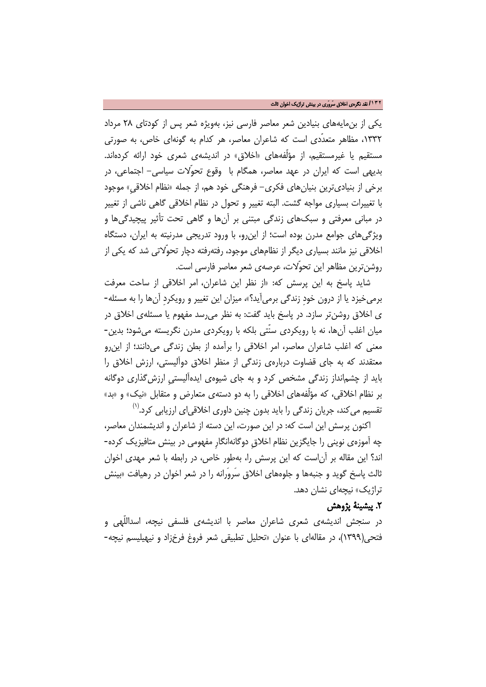یکی از بنمایههای بنیادین شعر معاصر فارسی نیز، بهویژه شعر پس از کودتای 28 مرداد ،1332 مظاهر متعدّدی است که شاعران معاصر، هر کدام به گونهای خاص، به صورتی مستقیم یا غیرمستقیم، از مؤلّفههای «اخلاق» در اندیشهی شعری خود ارائه کردهاند. بدیهی است که ایران در عهد معاصر، همگام با وقوع تحوّلات سیاسی- اجتماعی، در برخی از بنیادیترین بنیانهای فکری- فرهنگی خود هم، از جمله «نظام اخلاقیِ» موجود با تغییرات بسیاری مواجه گشت. البته تغییر و تحول در نظام اخلاقی گاهی ناشی از تغییر در مبانی معرفتی و سبکهای زندگی مبتنی بر آنها و گاهی تحت تأثیر پیچیدگیها و ویژگیهای جوامع مدرن بوده است؛ از اینرو، با ورود تدریجی مدرنیته به ایران، دستگاه اخلاقی نیز مانند بسیاری دیگر از نظامهای موجود، رفتهرفته دچار تحوّلاتی شد که یکی از روشنترین مظاهر این تحوّلات، عرصهی شعر معاصر فارسی است.

شاید پاسخ به این پرسش که: «از نظر این شاعران، امر اخلاقی از ساحت معرفت برمیخیزد یا از درون خودِ زندگی برمیآید؟»، میزان این تغییر و رویکردِ آنها را به مسئله- ی اخلاق روشنتر سازد. در پاسخ باید گفت: به نظر میرسد مفهوم یا مسئلهی اخلاق در میان اغلب آنها، نه با رویکردی سنّتی بلکه با رویکردی مدرن نگریسته میشود؛ بدین- معنی که اغلب شاعران معاصر، امر اخلاقی را برآمده از بطن زندگی میدانند؛ از اینرو معتقدند که به جای قضاوت دربارهی زندگی از منظر اخلاق دوآلیستی، ارزش اخلاق را باید از چشمانداز زندگی مشخص کرد و به جای شیوهی ایدهآلیستیِ ارزشگذاری دوگانه بر نظام اخلاقی، که مؤلّفههای اخلاقی را به دو دستهی متعارض و متقابل «نیک» و «بد» نقسیم میکند، جریان زندگی را باید بدون چنین داوری اخلاقیای ارزیابی کرد.<sup>(۱)</sup>

اکنون پرسش این است که: در این صورت، این دسته از شاعران و اندیشمندان معاصر، چه آموزهی نوینی را جایگزین نظام اخلاقِ دوگانهانگارِ مفهومی در بینش متافیزیک کرده- اند؟ این مقاله بر آناست که این پرسش را، بهطور خاص، در رابطه با شعر مهدی اخوان ثالث پاسخ گوید و جنبهها و جلوههای اخلاق سَروَرانه را در شعر اخوان در رهیافت «بینش تراژیک» نیچهای نشان دهد.

## .2 پیشینۀ پژوهش

در سنجش اندیشهی شعری شاعران معاصر با اندیشهی فلسفی نیچه، اسداللّهی و فتحی(1399)، در مقالهای با عنوان «تحلیل تطبیقی شعر فروغ فرخزاد و نیهیلیسم نیچه-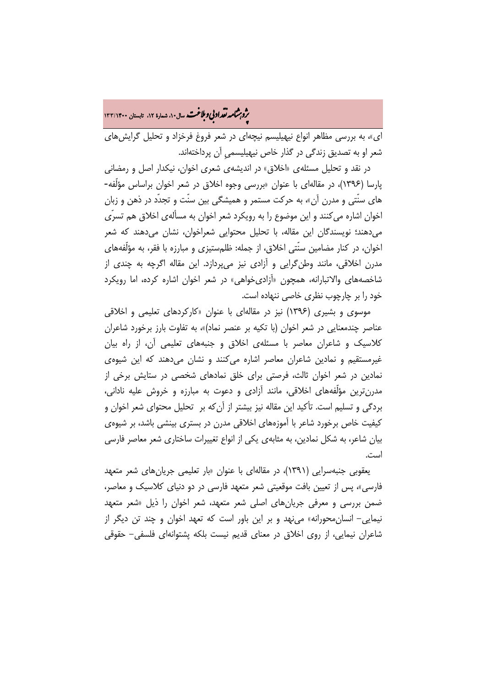**.<br>بروبرشامه نقد ادبی و ملاغت.** سال۱۰، شماره ۱۲، تابستان ۱۳۳/۱۴۰۰

ای»، به بررسی مظاهر انواع نیهیلیسم نیچهای در شعر فروغ فرخزاد و تحلیل گرایشهای شعر او به تصدیق زندگی در گذار خاص نیهیلیسمیِ آن پرداختهاند.

در نقد و تحلیل مسئلهی «اخلاق» در اندیشهی شعری اخوان، نیکدار اصل و رمضانی پارسا (1396)، در مقالهای با عنوان «بررسی وجوه اخلاق در شعر اخوان براساس مؤلّفه- های سنّتی و مدرن آن»، به حرکت مستمر و همیشگی بین سنّت و تجدّد در ذهن و زبان اخوان اشاره میکنند و این موضوع را به رویکرد شعر اخوان به مسألهی اخلاق هم تسرّی میدهند؛ نویسندگان این مقاله، با تحلیل محتوایی شعراخوان، نشان میدهند که شعر اخوان، در کنار مضامین سنّتی اخلاق، از جمله: ظلمستیزی و مبارزه با فقر، به مؤلّفههای مدرن اخلاقی، مانند وطنگرایی و آزادی نیز میپردازد. این مقاله اگرچه به چندی از شاخصههای والاتبارانه، همچون «آزادیخواهی» در شعر اخوان اشاره کرده، اما رویکرد خود را بر چارچوب نظری خاصی ننهاده است.

موسوی و بشیری (1396) نیز در مقالهای با عنوان «کارکردهای تعلیمی و اخلاقی عناصر چندمعنایی در شعر اخوان (با تکیه بر عنصر نماد)»، به تفاوت بارز برخورد شاعران کلاسیک و شاعران معاصر با مسئلهی اخلاق و جنبههای تعلیمی آن، از راه بیان غیرمستقیم و نمادین شاعران معاصر اشاره میکنند و نشان میدهند که این شیوهی نمادین در شعر اخوان ثالث، فرصتی برای خلق نمادهای شخصی در ستایش برخی از مدرنترین مؤلّفههای اخلاقی، مانند آزادی و دعوت به مبارزه و خروش علیه نادانی، بردگی و تسلیم است. تأکید این مقاله نیز بیشتر از آنکه بر تحلیل محتوای شعر اخوان و کیفیت خاص برخورد شاعر با آموزههای اخلاقی مدرن در بستری بینشی باشد، بر شیوهی بیان شاعر، به شکل نمادین، به مثابهی یکی از انواع تغییرات ساختاری شعر معاصر فارسی است.

یعقوبی جنبهسرایی (1391)، در مقالهای با عنوان «بار تعلیمی جریانهای شعر متعهد فارسی»، پس از تعیین بافت موقعیتی شعر متعهد فارسی در دو دنیای کلاسیک و معاصر، ضمن بررسی و معرفی جریانهای اصلی شعر متعهد، شعر اخوان را ذیل «شعر متعهد نیمایی- انسانمحورانه» مینهد و بر این باور است که تعهد اخوان و چند تن دیگر از شاعران نیمایی، از روی اخلاق در معنای قدیم نیست بلکه پشتوانهای فلسفی- حقوقی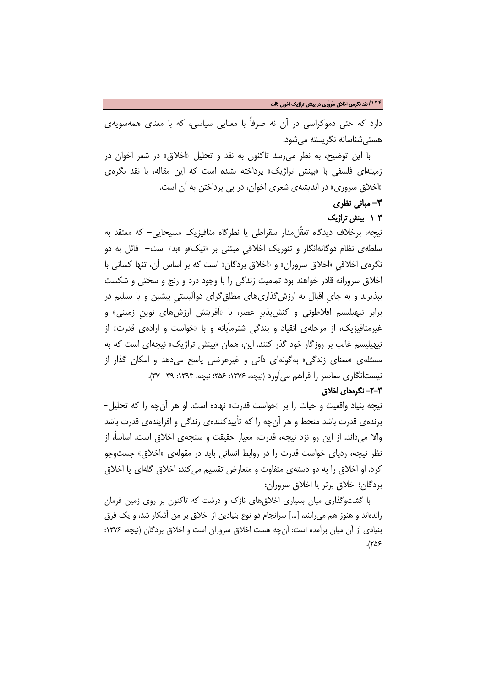دارد که حتی دموکراسی در آن نه صرفاً با معنایی سیاسی، که با معنای همهسویهی هستیشناسانه نگریسته میشود.

با این توضیح، به نظر میرسد تاکنون به نقد و تحلیل «اخلاق» در شعر اخوان در زمینهای فلسفی با «بینش تراژیک» پرداخته نشده است که این مقاله، با نقد نگرهی «اخلاق سروری» در اندیشهی شعری اخوان، در پی پرداختن به آن است.

## -3 مبانی نظری

### -1-3 بینش تراژیک

نیچه، برخلاف دیدگاه تعقّلمدار سقراطی یا نظرگاه متافیزیک مسیحایی- که معتقد به سلطهی نظام دوگانهانگار و تئوریک اخلاقیِ مبتنی بر «نیک»و «بد» است- قائل به دو نگرهی اخلاقیِ «اخلاق سروران» و «اخلاق بردگان» است که بر اساس آن، تنها کسانی با اخلاق سرورانه قادر خواهند بود تمامیت زندگی را با وجود درد و رنج و سختی و شکست بپذیرند و به جایِ اقبال به ارزشگذاریهای مطلقگرای دوآلیستیِ پیشین و یا تسلیم در برابر نیهیلیسم افلاطونی و کنشپذیرِ عصر، با «آفرینش ارزشهای نوینِ زمینی» و غیرمتافیزیک، از مرحلهی انقیاد و بندگی شترمآبانه و با «خواست و ارادهی قدرت» از نیهیلیسم غالب بر روزگار خود گذر کنند. این، همان «بینش تراژیک» نیچهای است که به مسئلهی «معنای زندگی» بهگونهای ذاتی و غیرعرضی پاسخ میدهد و امکان گذار از نیستانگاری معاصر را فراهم میآورد (نیچه، :1376 256؛ نیچه، :1393 -39 37).

### -2-3 نگرههای اخلاق

نیچه بنیاد واقعیت و حیات را بر «خواست قدرت» نهاده است. او هر آنچه را که تحلیل- برندهی قدرت باشد منحط و هر آنچه را که تأییدکنندهی زندگی و افزایندهی قدرت باشد والا میداند. از این رو نزد نیچه، قدرت، معیار حقیقت و سنجهی اخلاق است. اساسا،ً از نظر نیچه، ردپای خواست قدرت را در روابط انسانی باید در مقولهی «اخلاق» جستوجو کرد. او اخلاق را به دو دستهی متفاوت و متعارض تقسیم میکند: اخلاق گلهای یا اخلاق بردگان؛ اخلاق برتر یا اخلاق سروران:

با گشتوگذاری میان بسیاری اخلاقهای نازک و درشت که تاکنون بر روی زمین فرمان راندهاند و هنوز هم میرانند، [...] سرانجام دو نوع بنیادین از اخلاق بر من آشکار شد، و یک فرق بنیادی از آن میان برآمده است: آنچه هست اخلاق سروران است و اخلاق بردگان (نیچه، :1376 ۲۵۶).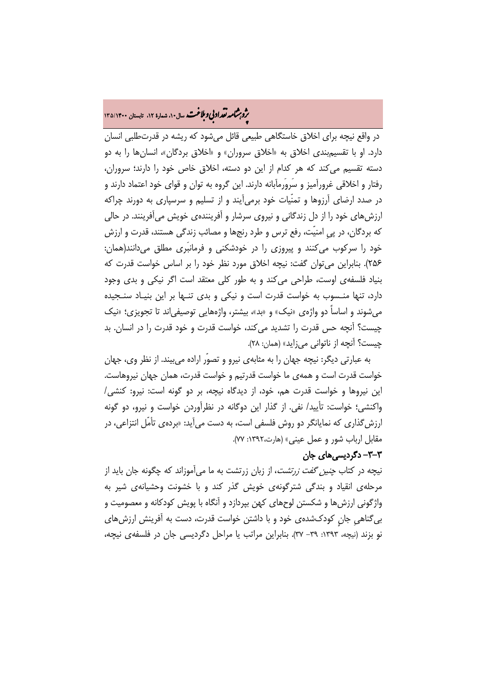# م**روبرشامه نقد اد بي و ملاغت.** سال۱۴۰ نسهاده ۱۲، تابستان ۱۳۵/۱۴۰۰<br>په

در واقع نیچه برای اخلاق خاستگاهی طبیعی قائل میشود که ریشه در قدرتطلبی انسان دارد. او با تقسیمبندی اخلاق به «اخلاق سروران» و «اخلاق بردگان»، انسانها را به دو دسته تقسیم میکند که هر کدام از این دو دسته، اخلاق خاص خود را دارند؛ سروران، رفتار و اخلاقی غرورآمیز و سَروَرمآبانه دارند. این گروه به توان و قوای خود اعتماد دارند و در صدد ارضای آرزوها و تمنّیات خود برمیآیند و از تسلیم و سرسپاری به دورند چراکه ارزشهای خود را از دل زندگانی و نیروی سرشار و آفرینندهی خویش میآفرینند. در حالی که بردگان، در پیِ امنیّت، رفع ترس و طرد رنجها و مصائب زندگی هستند، قدرت و ارزش خود را سرکوب میکنند و پیروزی را در خودشکنی و فرمانبَری مطلق میدانند(همان: 256). بنابراین میتوان گفت: نیچه اخلاق مورد نظر خود را بر اساس خواست قدرت که بنیاد فلسفهی اوست، طراحی میکند و به طور کلی معتقد است اگر نیکی و بدی وجود دارد، تنها منـسوب به خواست قدرت است و نیکی و بدی تنـها بر این بنیـاد سنـجیده میشوند و اساساً دو واژهی «نیک» و «بد»، بیشتر، واژههایی توصیفیاند تا تجویزی؛ «نیک چیست؟ آنچه حس قدرت را تشدید میکند، خواست قدرت و خود قدرت را در انسان. بد چیست؟ آنچه از ناتوانی میزاید» (همان: 28).

به عبارتی دیگر: نیچه جهان را به مثابهی نیرو و تصوّر اراده میبیند. از نظر وی، جهان خواست قدرت است و همهی ما خواست قدرتیم و خواست قدرت، همان جهان نیروهاست. این نیروها و خواست قدرت هم، خود، از دیدگاه نیچه، بر دو گونه است: نیرو: کنشی/ واکنشی؛ خواست: تأیید/ نفی. از گذار این دوگانه در نظرآوردن خواست و نیرو، دو گونه ارزشگذاری که نمایانگر دو روش فلسفی است، به دست میآید: «بردهی تأمّل انتزاعی، در مقابل ارباب شور و عمل عینی» (هارت:1392، 77).

## -3-3 دگردیسیهای جان

نیچه در کتاب چنین گفت زرتشت، از زبان زرتشت به ما میآموزاند که چگونه جان باید از مرحلهی انقیاد و بندگی شترگونهی خویش گذر کند و با خشونت وحشیانهی شیر به واژگونی ارزشها و شکستن لوحهای کهن بپردازد و آنگاه با پویش کودکانه و معصومیت و بیگناهیِ جانٍ کودکشدهی خود و با داشتن خواست قدرت، دست به آفرینش ارزشهای نو بزند (نیچه، ١٣٩٣: ٣٩- ٣٧). بنابراین مراتب یا مراحل دگردیسی جان در فلسفهی نیچه،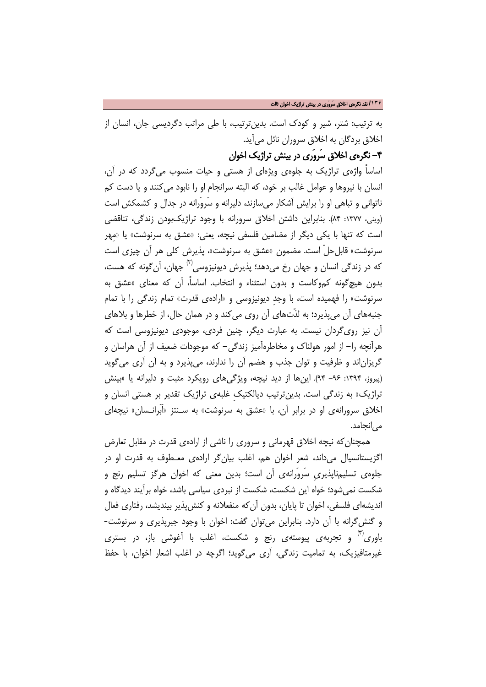به ترتیب: شتر، شیر و کودک است. بدینترتیب، با طی مراتب دگردیسی جان، انسان از اخلاق بردگان به اخلاق سروران نائل میآید.

-4 نگرهی اخلاق سَروَری در بینش تراژیک اخوان

اساساً واژهی تراژیک به جلوهی ویژهای از هستی و حیات منسوب میگردد که در آن، انسان با نیروها و عوامل غالب بر خود، که البته سرانجام او را نابود میکنند و یا دست کم ناتوانی و تباهی او را برایش آشکار میسازند، دلیرانه و سَروَرانه در جدال و کشمکش است (وینی، :1377 84). بنابراین داشتن اخلاق سرورانه با وجود تراژیکبودن زندگی، تناقضی است که تنها با یکی دیگر از مضامین فلسفی نیچه، یعنی: «عشق به سرنوشت» یا «مِهر سرنوشت» قابلحلّ است. مضمون «عشق به سرنوشت»، پذیرش کلي هر آن چیزی است که در زندگي انسان و جهان رخ مي،هد؛ پذيرش ديونيزوسي<sup>(۲)</sup> جهان، آن گونه که هست، بدون هیچگونه کموکاست و بدون استثناء و انتخاب. اساسا،ً آن که معنای «عشق به سرنوشت» را فهمیده است، با وجدِ دیونیزوسی و «ارادهی قدرت» تمام زندگی را با تمام جنبههای آن میپذیرد؛ به لذّتهای آن روی میکند و در همان حال، از خطرها و بلاهای آن نیز رویگردان نیست. به عبارت دیگر، چنین فردی، موجودی دیونیزوسی است که هرآنچه را- از امور هولناک و مخاطرهآمیز زندگی- که موجودات ضعیف از آن هراسان و گریزاناند و ظرفیت و توان جذب و هضم آن را ندارند، میپذیرد و به آن آری میگوید (پیروز، :1394 -96 94). اینها از دید نیچه، ویژگیهای رویکرد مثبت و دلیرانه یا «بینش تراژیک» به زندگی است. بدینترتیب دیالکتیکِ غلبهی تراژیک تقدیر بر هستی انسان و اخلاق سرورانهی او در برابر آن، با «عشق به سرنوشت» به سـنتز «اَبَرانـسان» نیچهای مے انجامد.

همچنانکه نیچه اخلاق قهرمانی و سروری را ناشی از ارادهی قدرت در مقابل تعارض اگزیستانسیال میداند، شعر اخوان هم، اغلب بیانگر ارادهی معـطوف به قدرت او در جلوهی تسلیمناپذیریِ سَروَرانهی آن است؛ بدین معنی که اخوان هرگز تسلیم رنج و شکست نمیشود؛ خواه این شکست، شکست از نبردی سیاسی باشد، خواه برآیند دیدگاه و اندیشهای فلسفی، اخوان تا پایان، بدون آنکه منفعلانه و کنشپذیر بیندیشد، رفتاری فعال و گنشگرانه با آن دارد. بنابراین میتوان گفت: اخوان با وجود جبرپذیری و سرنوشت- باوری<sup>(۳)</sup> و تجربهی پیوستهی رنج و شکست، اغلب با آغوشی باز، در بستری غیرمتافیزیک، به تمامیت زندگی، آری میگوید؛ اگرچه در اغلب اشعار اخوان، با حفظ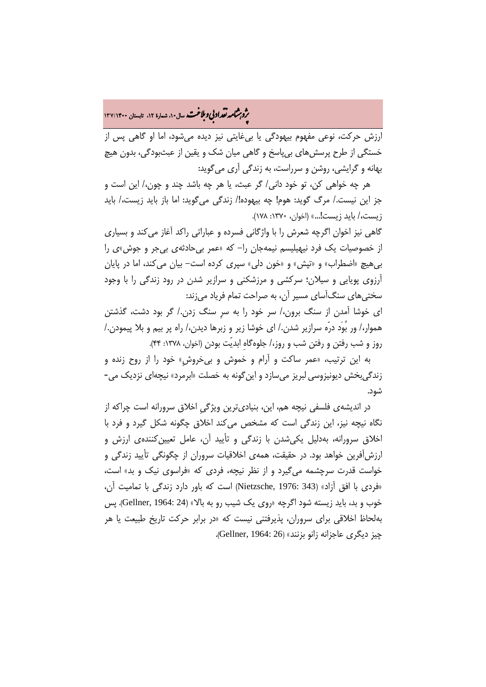# **.<br>بروبرشامه نقد ادبی و ملاغت م**سال۱۰، شماره ۱۲، تابستان ۱۳۷/۱۴۰۰<br>**ب**ه

ارزش حرکت، نوعی مفهوم بیهودگی یا بیغایتی نیز دیده میشود، اما او گاهی پس از خستگی از طرح پرسشهای بیپاسخ و گاهی میان شک و یقین از عبثبودگی، بدون هیچ بهانه و گرایشی، روشن و سرراست، به زندگی آری میگوید:

هر چه خواهی کن، تو خود دانی/ گر عبث، یا هر چه باشد چند و چون/، این است و جز این نیست/. مرگ گوید: هوم! چه بیهوده!/ زندگی میگوید: اما باز باید زیست/، باید زیست/، باید زیست!...» (اخوان، :1370 178).

گاهی نیز اخوان اگرچه شعرش را با واژگانی فسرده و عباراتی راکد آغاز میکند و بسیاری از خصوصیات یک فرد نیهیلیسم نیمهجان را- که «عمر بیحادثهی بیجر و جوش»ی را بیهیچ «اضطراب» و «تپش» و «خون دلی» سپری کرده است- بیان میکند، اما در پایان آرزوی پویایی و سیلان؛ سرکشی و مرزشکنی و سرازیر شدن در رود زندگی را با وجود سختیهای سنگآسای مسیر آن، به صراحت تمام فریاد میزند:

ای خوشا آمدن از سنگ برون/، سر خود را به سرِ سنگ زدن/. گر بود دشت، گذشتن هموار/، ور بُوَد درّه سرازیر شدن/. ای خوشا زیر و زبرها دیدن/، راه پر بیم و بلا پیمودن/. روز و شب رفتن و رفتن شب و روز/، جلوهگاهِ ابدیّت بودن (اخوان، :1378 44).

به این ترتیب، «عمر ساکت و آرام و خموش و بیخروشِ» خود را از روح زنده و زندگیبخش دیونیزوسی لبریز میسازد و اینگونه به خصلت «ابرمرد» نیچهای نزدیک می- شود.

در اندیشهی فلسفی نیچه هم، این، بنیادیترین ویژگیِ اخلاق سرورانه است چراکه از نگاه نیچه نیز، این زندگی است که مشخص میکند اخلاق چگونه شکل گیرد و فرد با اخلاق سرورانه، بهدلیل یکیشدن با زندگی و تأیید آن، عامل تعیینکنندهی ارزش و ارزشآفرین خواهد بود. در حقیقت، همهی اخلاقیات سروران از چگونگی تأیید زندگی و خواست قدرت سرچشمه میگیرد و از نظر نیچه، فردی که «فراسوی نیک و بد» است، «فردی با افق آزاد» (343 1976: ,Nietzsche (است که باور دارد زندگی با تمامیت آن، خوب و بد، باید زیسته شود اگرچه «روی یک شیب رو به بالا» (24 1964: ,Gellner(. پس بهلحاظ اخلاقی برای سروران، پذیرفتنی نیست که «در برابر حرکت تاریخ طبیعت یا هر چیز دیگری عاجزانه زانو بزنند» (36 :Gellner, 1964).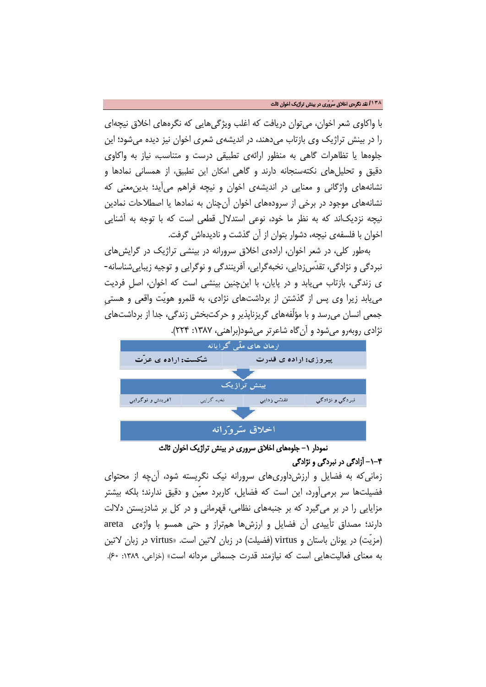#### **/۱۳۸** نقد نگرهی اخلاق سَروَری در بینش تراژیک اخوان ثالث

با واکاوی شعر اخوان، میتوان دریافت که اغلب ویژگیهایی که نگرههای اخلاق نیچهای را در بینش تراژیک وی بازتاب میدهند، در اندیشهی شعری اخوان نیز دیده میشود؛ این جلوهها یا تظاهرات گاهی به منظور ارائهی تطبیقی درست و متناسب، نیاز به واکاوی دقیق و تحلیلهای نکتهسنجانه دارند و گاهی امکان این تطبیق، از همسانی نمادها و نشانههای واژگانی و معنایی در اندیشهی اخوان و نیچه فراهم میآید؛ بدینمعنی که نشانههای موجود در برخی از سرودههای اخوان آنچنان به نمادها یا اصطلاحات نمادین نیچه نزدیکاند که به نظر ما خود، نوعی استدلال قطعی است که با توجه به آشنایی اخوان با فلسفهی نیچه، دشوار بتوان از آن گذشت و نادیدهاش گرفت.

بهطور کلی، در شعر اخوان، ارادهی اخلاق سرورانه در بینشی تراژیک در گرایشهای نبردگی و نژادگی، تقدّسزدایی، نخبهگرایی، آفرینندگی و نوگرایی و توجیه زیباییشناسانه- ی زندگی، بازتاب مییابد و در پایان، با اینچنین بینشی است که اخوان، اصلِ فردیت مییابد زیرا وی پس از گذشتن از برداشتهای نژادی، به قلمرو هویّت واقعی و هستیِ جمعی انسان میرسد و با مؤلّفههای گریزناپذیر و حرکتبخش زندگی، جدا از برداشتهای نژادی روبهرو میشود و آنگاه شاعرتر میشود(براهنی، ۱۳۸۷: ۲۲۴).



نمودار ١- جلوههای اخلاق سروری در بینش تراژیک اخوان ثالث

## -1-4 آزادگی در نبردگی و نژادگی

زمانیکه به فضایل و ارزشداوریهای سرورانه نیک نگریسته شود، آنچه از محتوای فضیلتها سر برمیآورد، این است که فضایل، کاربرد معیّن و دقیق ندارند؛ بلکه بیشتر مزایایی را در بر میگیرد که بر جنبههای نظامی، قهرمانی و در کل بر شادزیستن دلالت دارند؛ مصداق تأییدی آن فضایل و ارزشها همتراز و حتی همسو با واژهی areta (مزیّت) در یونان باستان و virtus) فضیلت) در زبان لاتین است. «virtus در زبان لاتین به معنای فعالیتهایی است که نیازمند قدرت جسمانی مردانه است» (خزاعی، :1389 60).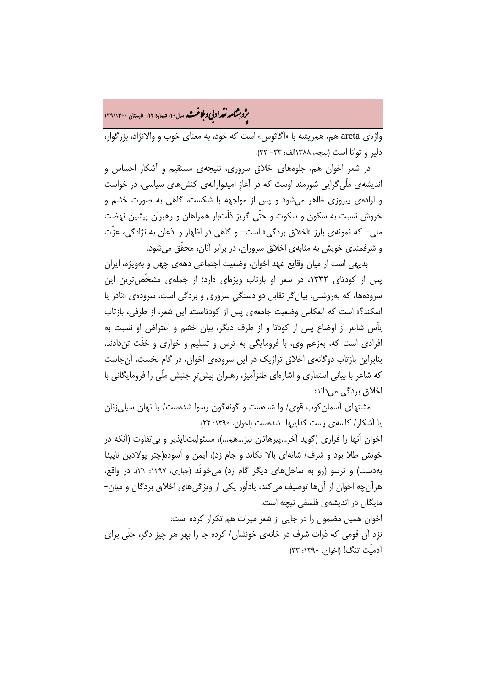**.<br>بروبرشامه نقد ادبی و ملاغت.** سال۱۰، شماره ۱۲، تابستان ۱۳۹/۱۴۰۰

واژهی areta هم، همریشه با «آگاثوس» است که خود، به معنای خوب و والانژاد، بزرگوار، دلیر و توانا است (نیچه، 1388الف: -33 32).

در شعر اخوان هم، جلوههای اخلاق سروری، نتیجهی مستقیم و آشکار احساس و اندیشهی ملّیگرایی شورمند اوست که در آغازِ امیدوارانهی کنشهای سیاسی، در خواست و ارادهی پیروزی ظاهر میشود و پس از مواجهه با شکست، گاهی به صورت خشم و خروش نسبت به سکون و سکوت و حتّی گریز ذلّتبار همراهان و رهبران پیشین نهضت ملی- که نمونهی بارز «اخلاق بردگی» است- و گاهی در اظهار و اذعان به نژادگی، عزّت و شرفمندی خویش به مثابهی اخلاق سروران، در برابر آنان، محقّق میشود.

بدیهی است از میان وقایع عهد اخوان، وضعیت اجتماعی دههی چهل و بهویژه، ایران پس از کودتای ۱۳۳۲، در شعر او بازتاب ویژهای دارد؛ از جملهی مشخّصترین این سرودهها، که بهروشنی، بیانگر تقابل دو دستگیِ سروری و بردگی است، سرودهی «نادر یا اسکند؟» است که انعکاس وضعیت جامعهی پس از کودتاست. این شعر، از طرفی، بازتاب یأس شاعر از اوضاع پس از کودتا و از طرف دیگر، بیان خشم و اعتراض او نسبت به افرادی است که، بهزعم وی، با فرومایگی به ترس و تسلیم و خواری و خفّت تندادند. بنابراین بازتاب دوگانهی اخلاق تراژیک در این سرودهی اخوان، در گام نخست، آنجاست که شاعر با بیانی استعاری و اشارهای طنزآمیز، رهبران پیشترِ جنبش ملّی را فرومایگانی با اخلاق بردگی میداند:

مشتهای آسمانکوب قوی/ وا شدهست و گونهگون رسوا شدهست/ یا نهان سیلیزنان یا آشکار/ کاسهی پست گداییها شدهست (اخوان، :1390 22).

اخوان آنها را فراری (گوید آخر...پیرهاتان نیز...هم...)، مسئولیتناپذیر و بیتفاوت (آنکه در خونش طلا بود و شرف/ شانهای بالا تکاند و جام زد)، ایمن و آسوده(چتر پولادین ناپیدا بهدست) و ترسو (رو به ساحلهای دیگر گام زد) میخوانَد (جباری، :1397 31). در واقع، هرآنچه اخوان از آنها توصیف میکند، یادآور یکی از ویژگیهای اخلاق بردگان و میان- مایگان در اندیشهی فلسفی نیچه است. اخوان همین مضمون را در جایی از شعر میراث هم تکرار کرده است: نزد آن قومی که ذرّات شرف در خانهی خونشان/ کرده جا را بهر هر چیز دگر، حتّی برای

آدمیّت تنگ! (اخوان، :1390 33).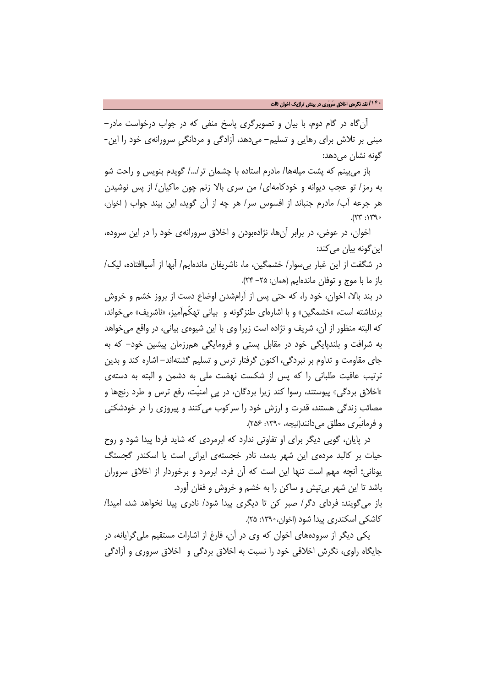آنگاه در گام دوم، با بیان و تصویرگری پاسخ منفی که در جواب درخواست مادر- مبنی بر تلاش برای رهایی و تسلیم- میدهد، آزادگی و مردانگیِ سرورانهی خود را این- گونه نشان می دهد:

باز میبینم که پشت میلهها/ مادرم استاده با چشمان تر/.../ گویدم بنویس و راحت شو به رمز/ تو عجب دیوانه و خودکامهای/ من سری بالا زنم چون ماکیان/ از پس نوشیدن هر جرعه آب/ مادرم جنباند از افسوس سر/ هر چه از آن گوید، این بیند جواب ( اخوان،  $.$ (73):  $77$ .

اخوان، در عوض، در برابر آنها، نژادهبودن و اخلاق سرورانهی خود را در این سروده، این گونه بیان می کند:

در شگفت از این غبار بیسوار/ خشمگین، ما، ناشریفان ماندهایم/ آبها از آسیاافتاده، لیک/ باز ما با موج و توفان ماندهایم (همان: -25 24).

در بند بالا، اخوان، خود را، که حتی پس از آرامشدن اوضاع دست از بروز خشم و خروش برنداشته است، «خشمگین» و با اشارهای طنزگونه و بیانی تهکّمآمیز، «ناشریف» میخواند، که البته منظور از آن، شریف و نژاده است زیرا وی با این شیوهی بیانی، در واقع میخواهد به شرافت و بلندپایگی خود در مقابل پستی و فرومایگی همرزمان پیشین خود- که به جای مقاومت و تداوم بر نبردگی، اکنون گرفتار ترس و تسلیم گشتهاند- اشاره کند و بدین ترتیب عافیت طلبانی را که پس از شکست نهضت ملی به دشمن و البته به دستهی «اخلاق بردگی» پیوستند، رسوا کند زیرا بردگان، در پیِ امنیّت، رفع ترس و طرد رنجها و مصائب زندگی هستند، قدرت و ارزش خود را سرکوب میکنند و پیروزی را در خودشکنی و فرمانبَری مطلق می دانند(نیچه، ۱۳۹۰: ۲۵۶).

در پایان، گویی دیگر برای او تفاوتی ندارد که ابرمردی که شاید فردا پیدا شود و روح حیات بر کالبد مردهی این شهر بدمد، نادر خجستهی ایرانی است یا اسکندر گجستگ یونانی؛ آنچه مهم است تنها این است که آن فرد، ابرمرد و برخوردار از اخلاق سروران باشد تا این شهر بیتپش و ساکن را به خشم و خروش و فغان آورد.

باز میگویند: فردای دگر/ صبر کن تا دیگری پیدا شود/ نادری پیدا نخواهد شد، امید!/ کاشکی اسکندری پیدا شود (اخوان:1390، 25).

یکی دیگر از سرودههای اخوان که وی در آن، فارغ از اشارات مستقیم ملیگرایانه، در جایگاه راوی، نگرش اخلاقی خود را نسبت به اخلاق بردگی و اخلاق سروری و آزادگی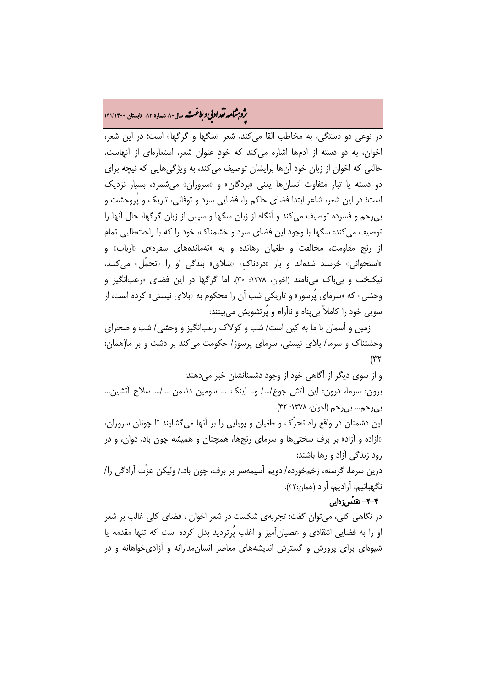# .<br>**بروبرشامه تقداد بی و بلاغت.** سال۱۰، شماره ۱۲، تابستان ۱۴۱/۱۴۰۰<br>پ

در نوعی دو دستگی، به مخاطب القا میکند، شعر «سگها و گرگها» است؛ در این شعر، اخوان، به دو دسته از آدمها اشاره میکند که خودِ عنوان شعر، استعارهای از آنهاست. حالتی که اخوان از زبان خود آنها برایشان توصیف میکند، به ویژگیهایی که نیچه برای دو دسته یا تبار متفاوت انسانها یعنی «بردگان» و «سروران» میشمرد، بسیار نزدیک است؛ در این شعر، شاعر ابتدا فضای حاکم را، فضایی سرد و توفانی، تاریک و پُروحشت و بیرحم و فسرده توصیف میکند و آنگاه از زبان سگها و سپس از زبان گرگها، حال آنها را توصیف میکند: سگها با وجود این فضای سرد و خشمناک، خود را که با راحتطلبی تمام از رنج مقاومت، مخالفت و طغیان رهانده و به «تهماندههای سفره»ی «ارباب» و «استخوانی» خرسند شدهاند و بار «دردناکِ» «شلاق» بندگی او را «تحمّل» میکنند، نیکبخت و بیباک مینامند (اخوان، :1378 30). اما گرگها در این فضای «رعبانگیز و وحشی» که «سرمای پُرسوز» و تاریکی شب آن را محکوم به «بلای نیستی» کرده است، از سویی خود را کاملاً بیپناه و ناآرام و پُرتشویش میبینند:

زمین و آسمان با ما به کین است/ شب و کولاک رعبانگیز و وحشی/ شب و صحرای وحشتناک و سرما/ بلای نیستی، سرمای پرسوز/ حکومت میکند بر دشت و بر ما(همان: (۳۲

و از سوی دیگر از آگاهی خود از وجود دشمنانشان خبر میدهند: برون: سرما، درون: این آتش جوع/.../ و.. اینک ... سومین دشمن .../... سلاح آتشین... بیرحم... بیرحم (اخوان، :1378 32).

این دشمنان در واقع راه تحرّک و طغیان و پویایی را بر آنها میگشایند تا چونان سروران، «آزاده و آزاد» بر برف سختیها و سرمای رنجها، همچنان و همیشه چون باد، دوان، و در رود زندگی آزاد و رها باشند:

درین سرما، گرسنه، زخمخورده/ دویم آسیمهسر بر برف، چون باد/. ولیکن عزّت آزادگی را/ نگهبانیم، آزادیم، آزاد (همان32:).

### -2-4 تقدّسزدایی

در نگاهی کلی، میتوان گفت: تجربهی شکست در شعر اخوان ، فضای کلی غالب بر شعر او را به فضایی انتقادی و عصیانآمیز و اغلب پُرتردید بدل کرده است که تنها مقدمه یا شیوهای برای پرورش و گسترش اندیشههای معاصر انسانمدارانه و آزادیخواهانه و در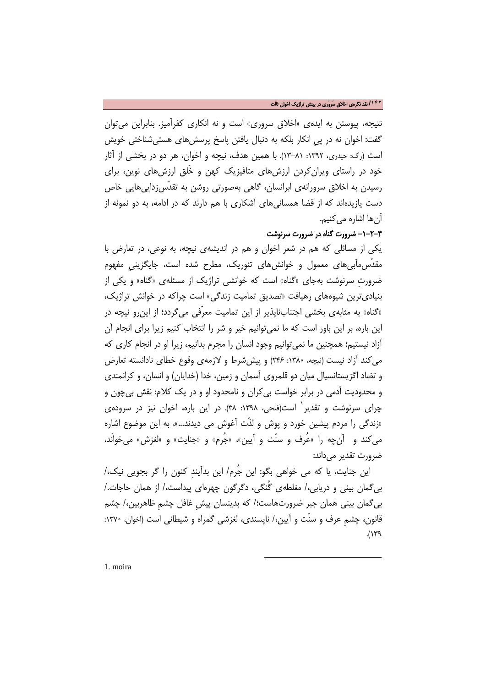نتیجه، پیوستن به ایدهی «اخلاق سروری» است و نه انکاری کفرآمیز. بنابراین میتوان گفت: اخوان نه در پیِ انکار بلکه به دنبال یافتن پاسخ پرسشهای هستیشناختی خویش است (رک: حیدری، :1392 13-81). با همین هدف، نیچه و اخوان، هر دو در بخشی از آثار خود در راستای ویرانکردن ارزشهای متافیزیک کهن و خَلق ارزشهای نوین، برای رسیدن به اخلاق سرورانهی ابرانسان، گاهی بهصورتی روشن به تقدّسزداییهایی خاص دست یازیدهاند که از قضا همسانیهای آشکاری با هم دارند که در ادامه، به دو نمونه از آنها اشاره میکنیم.

## -1-2-4 ضرورت گناه در ضرورت سرنوشت

یکی از مسائلی که هم در شعر اخوان و هم در اندیشهی نیچه، به نوعی، در تعارض با مقدّسمآبیهای معمول و خوانشهای تئوریک، مطرح شده است، جایگزینيِ مفهوم ضرورتِ سرنوشت بهجاي «گناه» است که خوانشی تراژیک از مسئلهی «گناه» و یکی از بنیادیترین شیوههای رهیافت «تصدیق تمامیت زندگی» است چراکه در خوانش تراژیک، «گناه» به مثابهی بخشی اجتنابناپذیر از این تمامیت معرّفی میگردد؛ از اینرو نیچه در این باره، بر این باور است که ما نميتوانیم خیر و شر را انتخاب کنیم زیرا براي انجام آن آزاد نیستیم؛ همچنین ما نميتوانیم وجود انسان را مجرم بدانیم، زیرا او در انجام کاري که ميکند آزاد نیست (نیچه، :1380 246) و پیششرط و لازمهی وقوع خطای نادانسته تعارض و تضاد اگزیستانسیال میان دو قلمروی آسمان و زمین، خدا (خدایان) و انسان، و کرانمندی و محدودیت آدمی در برابر خواست بیکران و نامحدود او و در یک کلام: نقش بیچون و چرای سرنوشت و تقدیر <sup>۱</sup> است(فتحی، ۱۳۹۸: ۳۸). در این باره، اخوان نیز در سرودهی «زندگی را مردم پیشین خورد و پوش و لذّت آغوش می دیدند...»، به این موضوع اشاره میکند و آنچه را «عُرف و سنّت و آیین»، «جُرم» و «جنایت» و «لغزش» میخوانَد، ضرورت تقدیر می داند:

این جنایت، یا که می خواهی بگو: این جُرم/ این بدآیندِ کنون را گر بجویی نیک/، بیگمان بینی و دریابی/، مغلطهی گُنگی، دگرگون چهرهای پیداست/، از همان حاجات/. بیگمان بینی همان جبر ضرورتهاست؛/ که بدینسان پیشِ غافل چشمِ ظاهربین/، چشم قانون، چشمِ عرف و سنّت و آیین/، ناپسندی، لغزشی گمراه و شیطانی است (اخوان، :1370  $.$ (1) $^{\circ}$ 

 $\overline{\phantom{a}}$ 

<span id="page-15-0"></span>[1](#page-15-0). moira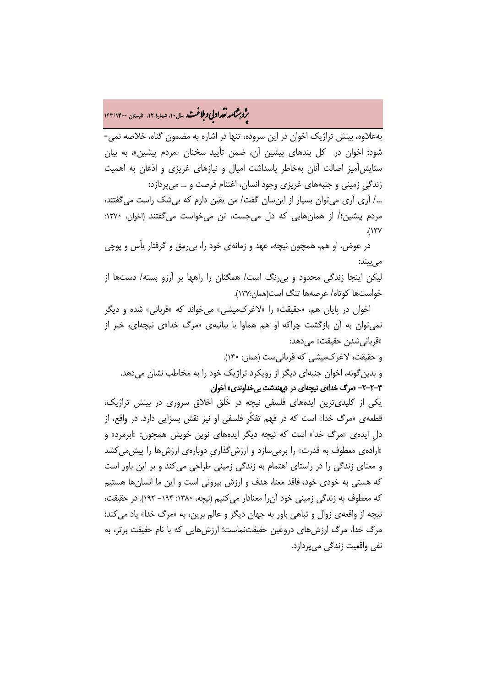# **.<br>بروبرشامه نقد ادبی و ملاغت مسال۱۰، شماره ۱۲، تابستان ۱۴۳/۱۴۰۰**

بهعلاوه، بینش تراژیک اخوان در این سروده، تنها در اشاره به مضمون گناه، خلاصه نمی- شود؛ اخوان در کل بندهای پیشین آن، ضمن تأیید سخنان «مردم پیشین»، به بیان ستایشآمیز اصالت آنان بهخاطر پاسداشت امیال و نیازهای غریزی و اذعان به اهمیت زندگیِ زمینی و جنبههای غریزی وجود انسان، اغتنام فرصت و ... میپردازد:

/... آری آری میتوان بسیار از اینسان گفت/ من یقین دارم که بیشک راست میگفتند، مردم پیشین؛/ از همانهایی که دل میجست، تن میخواست میگفتند (اخوان، ۱۳۷۰:  $.$ (1 $7$ Y)

در عوض، او هم، همچون نیچه، عهد و زمانهی خود را، بیرمق و گرفتار یأس و پوچی می بیند:

لیکن اینجا زندگی محدود و بیرنگ است/ همگنان را راهها بر آرزو بسته/ دستها از خواستها کوتاه/ عرصهها تنگ است(همان137:).

اخوان در پایان هم، «حقیقت» را «لاغرکمیشی» میخواند که «قربانی» شده و دیگر نمیتوان به آن بازگشت چراکه او هم هماوا با بیانیهی «مرگ خدا»ی نیچهای، خبر از «قربانیشدن حقیقت» میدهد:

و حقیقت، لاغرکمیشی که قربانیست (همان: 140). و بدینگونه، اخوان جنبهای دیگر از رویکرد تراژیک خود را به مخاطب نشان میدهد. -2-2-4 «مرگ خدا»ی نیچهای در «پهندشت بیخداوندی» اخوان

یکی از کلیدیترین ایدههای فلسفی نیچه در خَلق اخلاق سروری در بینش تراژیک، قطعهی «مرگ خدا» است که در فهم تفکّر فلسفی او نیز نقش بسزایی دارد. در واقع، از دلِ ایدهی «مرگ خدا» است که نیچه دیگر ایدههای نوین خویش همچون: «ابرمرد» و «ارادهی معطوف به قدرت» را برمیسازد و ارزشگذاریِ دوبارهی ارزشها را پیشمیکشد و معنای زندگی را در راستای اهتمام به زندگی زمینی طراحی میکند و بر این باور است که هستی به خودی خود، فاقد معنا، هدف و ارزش بیرونی است و این ما انسانها هستیم که معطوف به زندگی زمینی خود آنرا معنادار میکنیم (نیچه، :1380 -194 192). در حقیقت، نیچه از واقعهی زوال و تباهی باور به جهان دیگر و عالم برین، به «مرگ خدا» یاد میکند؛ مرگ خدا، مرگ ارزشهای دروغین حقیقتنماست؛ ارزشهایی که با نام حقیقت برتر، به نفی واقعیت زندگی میپردازد.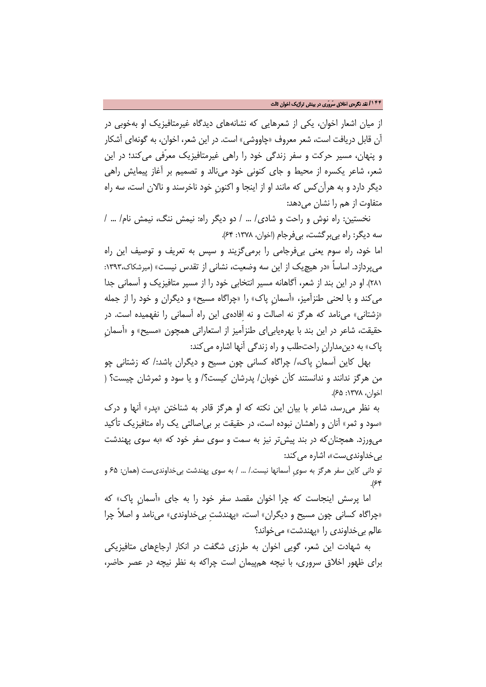از میان اشعار اخوان، یکی از شعرهایی که نشانههای دیدگاه غیرمتافیزیک او بهخوبی در آن قابل دریافت است، شعر معروف «چاووشی» است. در این شعر، اخوان، به گونهای آشکار و پنهان، مسیر حرکت و سفر زندگی خود را راهی غیرمتافیزیک معرّفی میکند؛ در این شعر، شاعر یکسره از محیط و جای کنونی خود مینالد و تصمیم بر آغاز پیمایش راهی دیگر دارد و به هرآنکس که مانند او از اینجا و اکنونِ خود ناخرسند و نالان است، سه راه متفاوت از هم را نشان می دهد:

نخستین: راه نوش و راحت و شادی/ ... / دو دیگر راه: نیمش ننگ، نیمش نام/ ... / سه دیگر: راه بی بر گشت، بی فرجام (اخوان، ۱۳۷۸: ۶۴).

اما خود، راه سوم یعنی بیفرجامی را برمیگزیند و سپس به تعریف و توصیف این راه میپردازد. اساساً «در هیچیک از این سه وضعیت، نشانی از تقدس نیست» (میرشکاک:1393، 281). او در این بند از شعر، آگاهانه مسیر انتخابی خود را از مسیر متافیزیک و آسمانی جدا میکند و با لحنی طنزآمیز، «آسمانِ پاک» را «چراگاه مسیح» و دیگران و خود را از جمله «زشتانی» مینامد که هرگز نه اصالت و نه اِفادهی این راه آسمانی را نفهمیده است. در حقیقت، شاعر در این بند با بهرهیابیای طنزآمیز از استعاراتی همچون «مسیح» و «آسمانِ پاک» به دینمدارانِ راحتطلب و راه زندگی آنها اشاره میکند:

بهل کاین آسمانِ پاک/، چراگاه کسانی چون مسیح و دیگران باشد/: که زشتانی چو من هرگز ندانند و ندانستند کآن خوبان/ پدرشان کیست؟/ و یا سود و ثمرشان چیست؟ ( اخوان، :1378 65).

به نظر میرسد، شاعر با بیان این نکته که او هرگز قادر به شناختن «پدر» آنها و درک «سود و ثمر» آنان و راهشان نبوده است، در حقیقت بر بیاصالتی یک راه متافیزیک تأکید میورزد. همچنانکه در بند پیشتر نیز به سمت و سوی سفر خود که «به سوی پهندشت بی خداوندیست»، اشاره می کند:

تو دانی کاین سفر هرگز به سویِ آسمانها نیست/. ... / به سوی پهندشت بیخداوندیست (همان: 65 و  $.$ (۶۴

اما پرسش اینجاست که چرا اخوان مقصد سفر خود را به جای «آسمانِ پاک» که «چراگاه کسانی چون مسیح و دیگران» است، «پهندشتِ بیخداوندی» مینامد و اصلاً چرا عالم بیخداوندی را «پهندشت» میخواند؟

به شهادت این شعر، گویی اخوان به طرزی شگفت در انکار ارجاعهای متافیزیکی برای ظهور اخلاق سروری، با نیچه همپیمان است چراکه به نظر نیچه در عصر حاضر،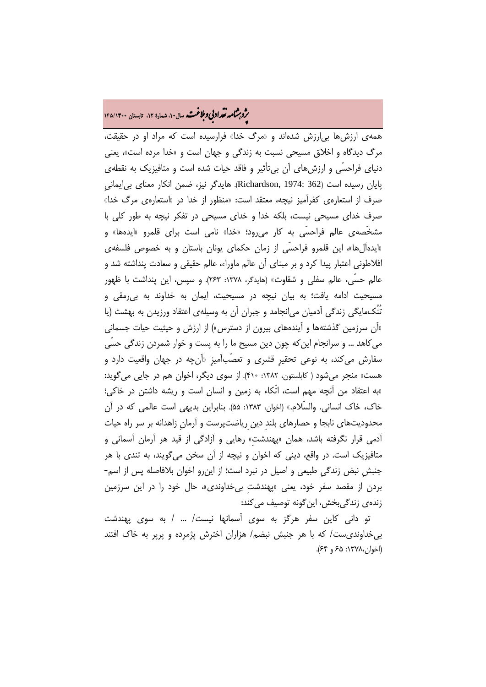# **.<br>بروبرشامه نقد ادبی و بلاغت.** سال۱۰، شماره ۱۲، تابستان ۱۴۵/۱۴۰۰

همهی ارزشها بیارزش شدهاند و «مرگ خدا» فرارسیده است که مراد او در حقیقت، مرگ دیدگاه و اخلاق مسیحی نسبت به زندگی و جهان است و «خدا مرده است»، یعنی دنیای فراحسّی و ارزشهای آن بیتأثیر و فاقد حیات شده است و متافیزیک به نقطهی پایان رسیده است (362 1974: ,Richardson(. هایدگر نیز، ضمن انکار معنای بیایمانیِ صرف از استعارهی کفرآمیز نیچه، معتقد است: «منظور از خدا در «استعارهی مرگ خدا» صرف خدای مسیحی نیست، بلکه خدا و خدای مسیحی در تفکر نیچه به طور کلی با مشخّصهی عالم فراحسّی به کار میرود؛ «خدا» نامی است برای قلمرو «ایدهها» و «ایدهآلها»، این قلمرو فراحسّی از زمان حکمای یونان باستان و به خصوص فلسفهی افلاطونی اعتبار پیدا کرد و بر مبنای آن عالم ماوراء، عالم حقیقی و سعادت پنداشته شد و عالم حسّی، عالم سفلی و شقاوت» (هایدگر، :1378 263). و سپس، این پنداشت با ظهور مسیحیت ادامه یافت؛ به بیان نیچه در مسیحیت، ایمان به خداوند به بیرمقی و تُنُکمایگی زندگی آدمیان میانجامد و جبران آن به وسیلهی اعتقاد ورزیدن به بهشت (یا «آن سرزمین گذشتهها و آیندههای بیرون از دسترس») از ارزش و حیثیت حیات جسمانی میکاهد ... و سرانجام اینکه چون دین مسیح ما را به پست و خوار شمردن زندگی حسّی سفارش میکند، به نوعی تحقیرِ قشری و تعصّبآمیزِ «آنچه در جهان واقعیت دارد و هست» منجر میشود ( کاپلستون، :1382 410). از سوی دیگر، اخوان هم در جایی میگوید: «به اعتقاد من آنچه مهم است، اتّکاء به زمین و انسان است و ریشه داشتن در خاکی؛ خاک، خاک انسانی. والسّلام.» (اخوان، :1383 55). بنابراین بدیهی است عالمی که در آن محدودیتهای نابجا و حصارهای بلندِ دینِریاضتپرست و آرمانِ زاهدانه بر سر راه حیات آدمی قرار نگرفته باشد، همان «پهندشتِ» رهایی و آزادگی از قید هر آرمان آسمانی و متافیزیک است. در واقع، دینی که اخوان و نیچه از آن سخن میگویند، به تندی با هر جنبشِ نبض زندگیِ طبیعی و اصیل در نبرد است؛ از اینرو اخوان بلافاصله پس از اسم- بردن از مقصد سفر خود، یعنی «پهندشتِ بیخداوندی»، حال خود را در این سرزمین زندهی زندگیبخش، این گونه توصیف می کند:

تو دانی کاین سفر هرگز به سوی آسمانها نیست/ ... / به سوی پهندشت بیخداوندیست/ که با هر جنبش نبضم/ هزاران اخترش پژمرده و پرپر به خاک افتند (اخوان:1378، 65 و 64).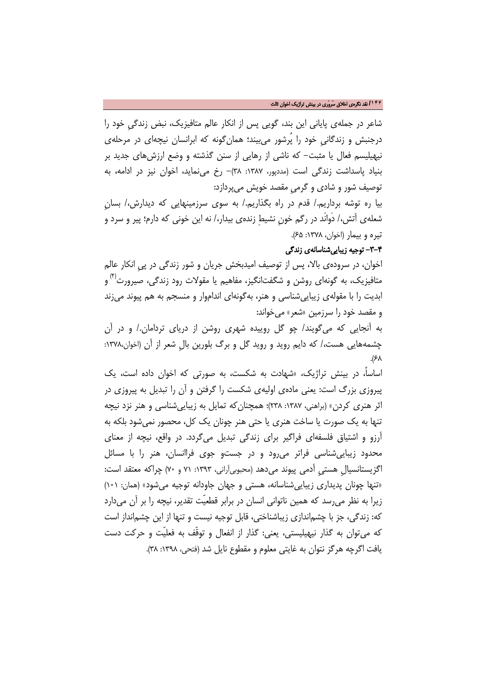#### **/۱۴۶** نقد نگرهی اخلاق سَروَری در بینش تراژیک اخوان ثالث

شاعر در جملهی پایانی این بند، گویی پس از انکار عالم متافیزیک، نبض زندگیِ خود را درجنبش و زندگانیِ خود را پُرشور میبیند؛ همانگونه که ابرانسان نیچهای در مرحلهی نیهیلیسم فعال یا مثبت- که ناشی از رهایی از سنن گذشته و وضع ارزشهای جدید بر بنیاد پاسداشت زندگی است (مددپور، :1387 38)- رخ مینماید، اخوان نیز در ادامه، به توصیف شور و شادی و گرمیِ مقصد خویش میپردازد:

بیا ره توشه برداریم/. قدم در راه بگذاریم/. به سوی سرزمینهایی که دیدارش/، بسانِ شعلهی آتش/، دَوانَد در رگم خونِ نشیطِ زندهی بیدار/، نه این خونی که دارم؛ پیر و سرد و تیره و بیمار (اخوان، :1378 65).

### -3-4 توجیه زیباییشناسانهی زندگی

اخوان، در سرودهی بالا، پس از توصیف امیدبخش جریان و شور زندگی در پیِ انکار عالم متافیزیک، به گونهای روشن و شگفتانگیز، مفاهیم یا مقولات رود زندگی، صیرورت<sup>(۴)</sup> و ابدیت را با مقولهی زیباییشناسی و هنر، بهگونهای انداموار و منسجم به هم پیوند میزند و مقصد خود را سرزمین «شعر» میخواند:

به آنجایی که میگویند/ چو گل روییده شهری روشن از دریای تردامان/. و در آن چشمههایی هست/، که دایم روید و روید گل و برگ بلورین بالِ شعر از آن (اخوان:1378، .(۶۸

اساسا،ً در بینش تراژیک، «شهادت به شکست، به صورتی که اخوان داده است، یک پیروزی بزرگ است: یعنی مادهی اولیهی شکست را گرفتن و آن را تبدیل به پیروزی در اثر هنری کردن» (براهنی، ۱۳۸۷: ۲۳۸)؛ همچنان که تمایل به زیبایی شناسی و هنر نزد نیچه تنها به یک صورت یا ساخت هنری یا حتی هنر چونان یک کل، محصور نمیشود بلکه به آرزو و اشتیاق فلسفهای فراگیر برای زندگی تبدیل میگردد. در واقع، نیچه از معنای محدود زیباییشناسی فراتر میرود و در جستو جوی فراانسان، هنر را با مسائل اگزیستانسیالِ هستی آدمی پیوند می دهد (محبوبیآرانی، ۱۳۹۳: ۷۱ و ۷۰) چراکه معتقد است: «تنها چونان پدیداری زیباییشناسانه، هستی و جهان جاودانه توجیه میشود» (همان: 101) زیرا به نظر میرسد که همین ناتوانی انسان در برابر قطعیّت تقدیر، نیچه را بر آن میدارد که: زندگی، جز با چشماندازی زیباشناختی، قابل توجیه نیست و تنها از این چشمانداز است که میتوان به گذار نیهیلیستی، یعنی: گذار از انفعال و توقّف به فعلیّت و حرکت دست یافت اگرچه هرگز نتوان به غایتی معلوم و مقطوع نایل شد (فتحی، ۱۳۹۸: ۳۸).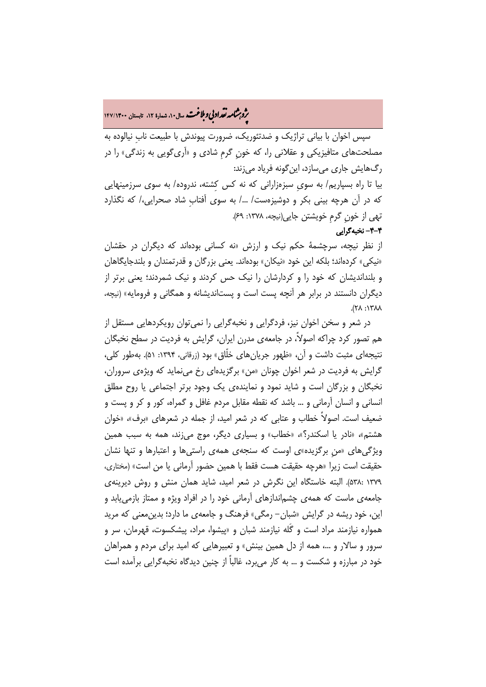# **.<br>بروبرشامه نقد ادبی و ملاغت.** سال۱۰، شماره ۱۲، تابستان ۱۴۷/۱۴۰۰<br>**ب**ه

سپس اخوان با بیانی تراژیک و ضدتئوریک، ضرورت پیوندش با طبیعت نابِ نیالوده به مصلحتهای متافیزیکی و عقلانی را، که خونِ گرمِ شادی و «آریگویی به زندگی» را در رگهایش جاری میسازد، اینگونه فریاد میزند:

بیا تا راه بسپاریم/ به سویِ سبزهزارانی که نه کس کِشته، ندروده/ به سوی سرزمینهایی که در آن هرچه بینی بکر و دوشیزهست/ /... به سوی آفتابِ شاد صحرایی/، که نگذارد تهی از خونِ گرمِ خویشتن جایی(نیچه، :1378 69).

-4-4 نخبهگرایی

از نظر نیچه، سرچشمۀ حکم نیک و ارزش «نه کسانی بودهاند که دیگران در حقشان «نیکی» کردهاند؛ بلکه این خود «نیکان» بودهاند. یعنی بزرگان و قدرتمندان و بلندجایگاهان و بلنداندیشان که خود را و کردارشان را نیک حس کردند و نیک شمردند؛ یعنی برتر از دیگران دانستند در برابر هر آنچه پست است و پستاندیشانه و همگانی و فرومایه» (نیچه،  $\lambda \lambda \gamma$  :  $\lambda \gamma$ ).

در شعر و سخن اخوان نیز، فردگرایی و نخبهگرایی را نمیتوان رویکردهایی مستقل از هم تصور کرد چراکه اصولا،ً در جامعهی مدرن ایران، گرایش به فردیت در سطح نخبگان نتیجهای مثبت داشت و آن، «ظهور جریانهای خلّاق» بود (زرقانی، :1394 51). بهطور کلی، گرایش به فردیت در شعر اخوان چونان «من» برگزیدهای رخ مینماید که ویژهی سروران، نخبگان و بزرگان است و شاید نمود و نمایندهی یک وجود برتر اجتماعی یا روح مطلق انسانی و انسان آرمانی و ... باشد که نقطه مقابل مردم غافل و گمراه، کور و کر و پست و ضعیف است. اصولاً خطاب و عتابی که در شعر امید، از جمله در شعرهای «برف»، «خوان هشتم»، «نادر یا اسکندر؟»، «خطاب» و بسیاری دیگر، موج میزند، همه به سبب همین ویژگیهای «منِ برگزیده»ی اوست که سنجهی همهی راستیها و اعتبارها و تنها نشان حقیقت است زیرا «هرچه حقیقت هست فقط با همین حضور آرمانی یا من است» (مختاری، 1379 538:). البته خاستگاه این نگرش در شعر امید، شاید همان منش و روش دیرینهی جامعهی ماست که همهی چشماندازهای آرمانی خود را در افراد ویژه و ممتاز بازمییابد و این، خود ریشه در گرایش «شبان- رمگی» فرهنگ و جامعهی ما دارد؛ بدینمعنی که مرید همواره نیازمند مراد است و گَله نیازمند شبان و «پیشوا، مراد، پیشکسوت، قهرمان، سر و سرور و سالار و ،... همه از دل همین بینش» و تعبیرهایی که امید برای مردم و همراهان خود در مبارزه و شکست و ... به کار میبرد، غالباً از چنین دیدگاه نخبهگرایی برآمده است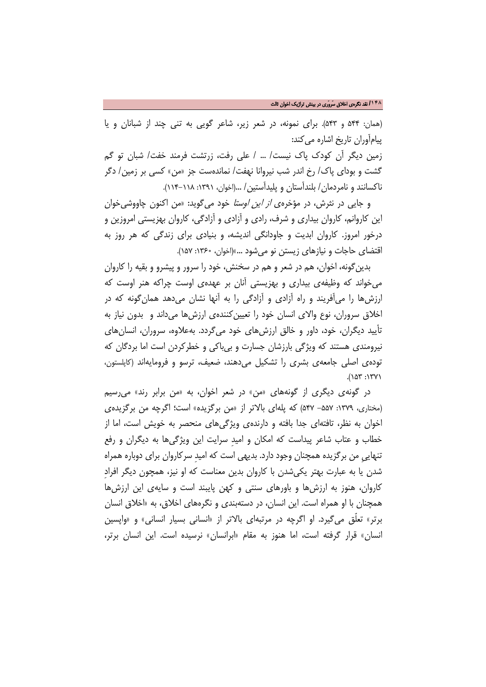(همان: 544 و 543). برای نمونه، در شعر زیر، شاعر گویی به تنی چند از شبانان و یا پیامآوران تاریخ اشاره میکند:

زمین دیگر آن کودک پاک نیست/ ... / علی رفت، زرتشت فرمند خفت/ شبان تو گم گشت و بودای پاک/ رخ اندر شب نیروانا نهفت/ نماندهست جز «من» کسی بر زمین/ دگر ناکسانند و نامردمان/ بلندآستان و پلیدآستین/ ...(اخوان، :1391 114-118).

و جایی در نثرش، در مؤخرهی از این اوستا خود میگوید: «من اکنون چاووشیخوان این کاروانم، کاروان بیداری و شرف، رادی و آزادی و آزادگی، کاروان بهزیستی امروزین و درخور امروز. کاروان ابدیت و جاودانگی اندیشه، و بنیادی برای زندگی که هر روز به اقتضای حاجات و نیازهای زیستن نو میشود ...»(اخوان، :1360 157).

بدینگونه، اخوان، هم در شعر و هم در سخنش، خود را سرور و پیشرو و بقیه را کاروان میخواند که وظیفهی بیداری و بهزیستی آنان بر عهدهی اوست چراکه هنر اوست که ارزشها را میآفریند و راه آزادی و آزادگی را به آنها نشان میدهد همانگونه که در اخلاق سروران، نوع والای انسان خود را تعیینکنندهی ارزشها میداند و بدون نیاز به تأیید دیگران، خود، داور و خالق ارزشهای خود میگردد. بهعلاوه، سروران، انسانهای نیرومندی هستند که ویژگی بارزشان جسارت و بیباکی و خطرکردن است اما بردگان که تودهی اصلی جامعهی بشری را تشکیل میدهند، ضعیف، ترسو و فرومایهاند (کاپلستون، .(153 :1371

در گونهی دیگری از گونههای «من» در شعر اخوان، به «من برابر رند» میرسیم (مختاری، :1379 -557 547) که پلهای بالاتر از «من برگزیده» است؛ اگرچه من برگزیدهی اخوان به نظر، تافتهای جدا بافته و دارندهی ویژگیهای منحصر به خویش است، اما از خطاب و عتاب شاعر پیداست که امکان و امیدِ سرایت این ویژگیها به دیگران و رفع تنهاییِ من برگزیده همچنان وجود دارد. بدیهی است که امیدِ سرکاروان برای دوباره همراه شدن یا به عبارت بهتر یکیشدن با کاروان بدین معناست که او نیز، همچون دیگر افرادِ کاروان، هنوز به ارزشها و باورهای سنتی و کهن پایبند است و سایهی این ارزشها همچنان با او همراه است. این انسان، در دستهبندی و نگرههای اخلاق، به «اخلاق انسان برتر» تعلّق میگیرد. او اگرچه در مرتبهای بالاتر از «انسانی بسیار انسانی» و «واپسین انسان» قرار گرفته است، اما هنوز به مقام «ابرانسان» نرسیده است. این انسان برتر،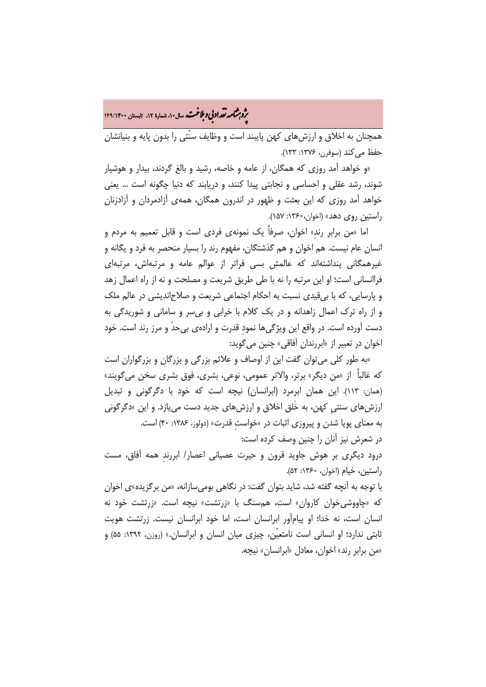م**روبرشامه نقد اد بي و بلاغت.** سال۱۴۰ شماره ۱۲، تابستان ۱۴۹/۱۴۰۰<br>پو

همچنان به اخلاق و ارزشهای کهن پایبند است و وظایف سنّتی را بدون پایه و بنیانشان حفظ می کند (سوفرن، ۱۳۷۶: ۱۳۳).

«و خواهد آمد روزی که همگان، از عامه و خاصه، رشید و بالغ گردند، بیدار و هوشیار شوند، رشد عقلی و احساسی و نجابتی پیدا کنند، و دریابند که دنیا چگونه است ... یعنی خواهد آمد روزی که این بعثت و ظهور در اندرون همگان، همهی آزادمردان و آزادزنان راستین روی دهد» (اخوان:1360، 157).

اما «من برابر رندِ» اخوان، صرفاً یک نمونهی فردی است و قابل تعمیم به مردم و انسان عام نیست. هم اخوان و هم گذشتگان، مفهوم رند را بسیار منحصر به فرد و یگانه و غیرهمگانی پنداشتهاند که عالمش بسی فراتر از عوالم عامه و مرتبهاش، مرتبهای فراانسانی است؛ او این مرتبه را نه با طی طریق شریعت و مصلحت و نه از راه اعمال زهد و پارسایی، که با بیقیدی نسبت به احکام اجتماعی شریعت و صلاحاندیشی در عالم ملک و از راه ترک اعمال زاهدانه و در یک کلام با خرابی و بیسر و سامانی و شوریدگی به دست آورده است. در واقع این ویژگیها نمودِ قدرت و ارادهی بیحدّ و مرز رند است. خود اخوان در تعبیر از «ابررندان آفاقی» چنین میگوید:

«به طور کلی میتوان گفت این از اوصاف و علائم بزرگی و بزرگان و بزرگواران است که غالباً از «من دیگر» برتر، والاتر عمومی، نوعی، بشری، فوق بشری سخن میگویند» (همان: 113). این همان ابرمرد (ابرانسان) نیچه است که خود با دگرگونی و تبدیل ارزشهای سنتیِ کهن، به خَلق اخلاق و ارزشهای جدید دست مییازد. و این «دگرگونی به معنای پویا شدن و پیروزی اثبات در «خواستِ قدرت» (دولوز، :1386 40) است. در شعرش نیز آنان را چنین وصف کرده است:

درود دیگری بر هوش جاوید قرون و حیرت عصیانی اعصار/ ابررندِ همه آفاق، مست راستین، خیام (اخوان، :1360 52).

با توجه به آنچه گفته شد، شاید بتوان گفت: در نگاهی بومیسازانه، «من برگزیده»ی اخوان که «چاووشیخوان کاروان» است، همسنگ با «زرتشت» نیچه است. «زرتشت خود نه انسان است، نه خدا؛ او پیامآور ابرانسان است، اما خود ابرانسان نیست. زرتشت هویت ثابتی ندارد؛ او انسانی است نامتعیّن، چیزی میان انسان و ابرانسان.» (روزن، :1392 55) و «من برابر رند» اخوان، معادل «ابرانسان» نیچه.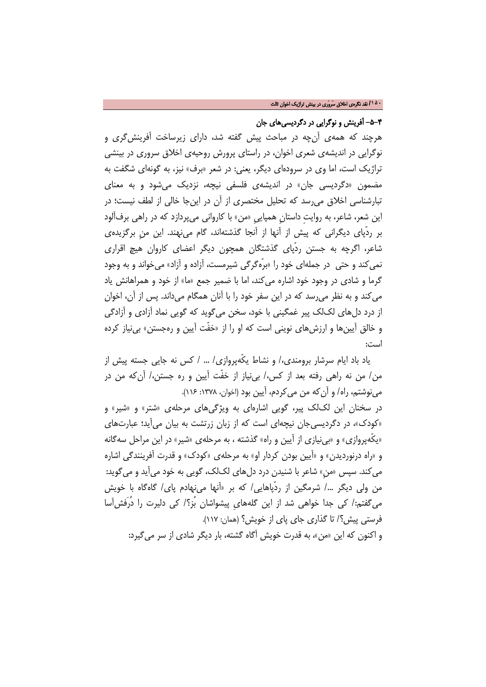### -5-4 آفرینش و نوگرایی در دگردیسیهای جان

هرچند که همهی آنچه در مباحث پیش گفته شد، دارای زیرساخت آفرینشگری و نوگرایی در اندیشهی شعری اخوان، در راستای پرورش روحیهی اخلاق سروری در بینشی تراژیک است، اما وی در سرودهای دیگر، یعنی: در شعر «برف» نیز، به گونهای شگفت به مضمون «دگردیسی جان» در اندیشهی فلسفی نیچه، نزدیک میشود و به معنای تبارشناسی اخلاق میرسد که تحلیل مختصری از آن در اینجا خالی از لطف نیست؛ در این شعر، شاعر، به روایتِ داستانِ همپاییِ «من» با کاروانی میپردازد که در راهی برفآلود بر ردّپای دیگرانی که پیش از آنها از آنجا گذشتهاند، گام مینهند. این منِ برگزیدهی شاعر، اگرچه به جستن ردّپای گذشتگان همچون دیگر اعضای کاروان هیچ اقراری نمی کند و حتی در جملهای خود را «برّهگرگی شیرمست، آزاده و آزاد» می خواند و به وجود گرما و شادی در وجود خود اشاره میکند، اما با ضمیر جمع «ما» از خود و همراهانش یاد میکند و به نظر میرسد که در این سفر خود را با آنان همگام میداند. پس از آن، اخوان از درد دلهای لکلک پیر غمگینی با خود، سخن میگوید که گویی نماد آزادی و آزادگی و خالق آیینها و ارزشهای نوینی است که او را از «خفّت آیین و رهجستن» بینیاز کرده است:

یاد باد ایام سرشار برومندی/، و نشاط یکّهپروازی/ ... / کس نه جایی جسته پیش از من/ من نه راهی رفته بعد از کس/، بینیاز از خفّت آیین و ره جستن/، آنکه من در مینوشتم، راه/ و آن که من می کردم، آیین بود (اخوان، ١٣٧٨: ١١۶).

در سخنان این لکلک پیر، گویی اشارهای به ویژگیهای مرحلهی «شتر» و «شیر» و «کودک»، در دگردیسیجان نیچهای است که از زبان زرتشت به بیان میآید؛ عبارتهای «یکّهپروازی» و «بینیازی از آیین و راه» گذشته ، به مرحلهی «شیر» در این مراحل سهگانه و «راه درنوردیدن» و «آیین بودن کردار او» به مرحلهی «کودک» و قدرت آفرینندگی اشاره میکند. سپس «منِ» شاعر با شنیدن درد دلهای لکلک، گویی به خود میآید و میگوید: من ولی دیگر .../ شرمگین از ردّپاهایی/ که بر «آنها می نهادم پای/ گاهگاه با خویش میگفتم/: کی جدا خواهی شد از این گلههایِ پیشواشان بُز؟/ کی دلیرت را دُرَفشآسا فرستی پیش؟/ تا گذاری جای پای از خویش؟ (همان: 117). و اکنون که این «من»، به قدرت خویش آگاه گشته، بار دیگر شادی از سر میگیرد: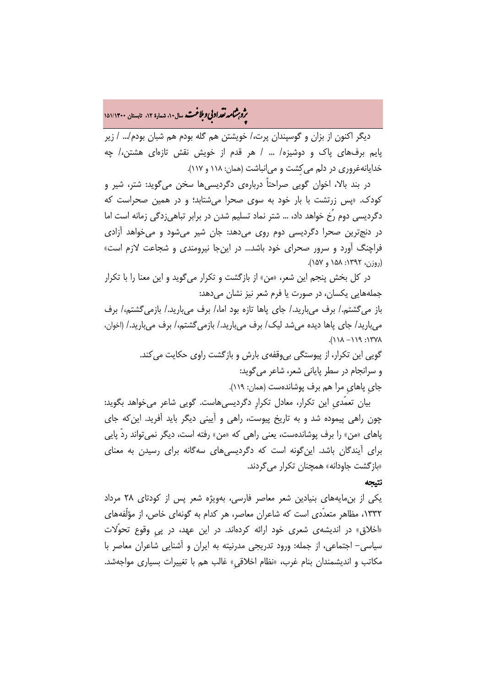# م**شر به شمار ادبی و بلاغت.** سال۱۰، شمارهٔ ۱۲، تابستان ۱۵۱/۱۴۰۰<br>و

دیگر اکنون از بزان و گوسپندان پرت،/ خویشتن هم گله بودم هم شبان بودم/... / زیر پایم برفهای پاک و دوشیزه/ ... / هر قدم از خویش نقش تازهای هشتن/، چه خدایانهغروری در دلم میکِشت و میانباشت (همان: 118 و 117).

در بند بالا، اخوان گویی صراحتاً دربارهی دگردیسیها سخن میگوید: شتر، شیر و کودک. «پس زرتشت با بار خود به سوی صحرا میشتابد؛ و در همین صحراست که دگردیسی دوم رُخ خواهد داد، ... شتر نماد تسلیم شدن در برابر تباهیزدگی زمانه است اما در دنجترین صحرا دگردیسی دوم روی میدهد: جان شیر میشود و میخواهد آزادی فراچنگ آورد و سرور صحرای خود باشد... در اینجا نیرومندی و شجاعت لازم است» (روزن، ١٣٩٢: ١۵٨ و ١٥٧).

در کل بخش پنجم این شعر، «من» از بازگشت و تکرار میگوید و این معنا را با تکرار جملههایی یکسان، در صورت یا فرم شعر نیز نشان میدهد:

باز میگشتم/. برف میبارید/. جای پاها تازه بود اما/، برف میبارید/. بازمیگشتم/، برف میبارید/ جای پاها دیده میشد لیک/ برف میبارید/. بازمیگشتم/، برف میبارید/. (اخوان،  $\Lambda$ Y71:  $P(1 - \Lambda(1))$ .

> گویی این تکرار، از پیوستگی بیوقفهی بارش و بازگشت راوی حکایت میکند. و سرانجام در سطر پایانی شعر، شاعر میگوید: جایِ پاهایِ مرا هم برف پوشاندهست (همان: 119).

بیان تعمّدیِ این تکرار، معادل تکرارِ دگردیسیهاست. گویی شاعر میخواهد بگوید: چون راهی پیموده شد و به تاریخ پیوست، راهی و آیینی دیگر باید آفرید. اینکه جای پاهای «من» را برف پوشاندهست، یعنی راهی که «من» رفته است، دیگر نمیتواند ردّ پایی برای آیندگان باشد. اینگونه است که دگردیسیهای سهگانه برای رسیدن به معنای «بازگشت جاودانه» همچنان تکرار میگردند.

### نتیجه

یکی از بنمایههای بنیادین شعر معاصر فارسی، بهویژه شعر پس از کودتای 28 مرداد ،1332 مظاهر متعدّدی است که شاعران معاصر، هر کدام به گونهای خاص، از مؤلّفههای «اخلاق» در اندیشهی شعری خود ارائه کردهاند. در این عهد، در پیِ وقوع تحوّلات سیاسی- اجتماعی، از جمله: ورود تدریجی مدرنیته به ایران و آشنایی شاعران معاصر با مکاتب و اندیشمندان بنام غرب، «نظام اخلاقیِ» غالب هم با تغییرات بسیاری مواجهشد.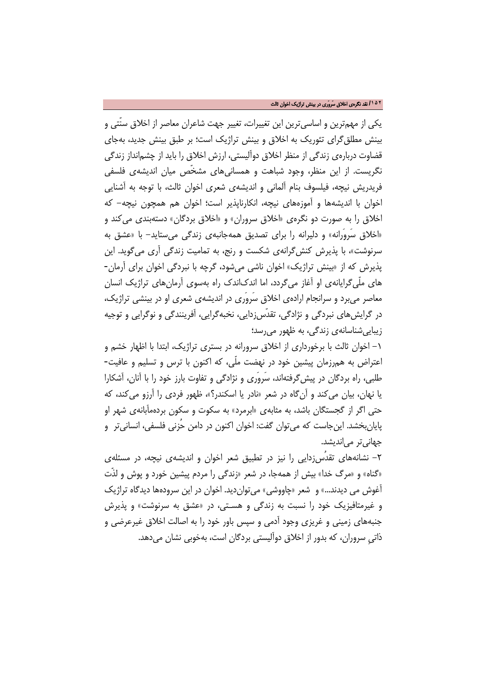یکی از مهمترین و اساسیترین این تغییرات، تغییر جهت شاعران معاصر از اخلاق سنّتی و بینش مطلقگرای تئوریک به اخلاق و بینش تراژیک است؛ بر طبق بینش جدید، بهجای قضاوت دربارهی زندگی از منظر اخلاق دوآلیستی، ارزش اخلاق را باید از چشمانداز زندگی نگریست. از این منظر، وجود شباهت و همسانیهای مشخّص میان اندیشهی فلسفی فریدریش نیچه، فیلسوف بنام آلمانی و اندیشهی شعری اخوان ثالث، با توجه به آشنایی اخوان با اندیشهها و آموزههای نیچه، انکارناپذیر است؛ اخوان هم همچون نیچه- که اخلاق را به صورت دو نگرهی «اخلاق سروران» و «اخلاق بردگان» دستهبندی میکند و «اخلاق سَروَرانه» و دلیرانه را برای تصدیق همهجانبهی زندگی میستاید- با «عشق به سرنوشت»، با پذیرش کنشگرانهی شکست و رنج، به تمامیت زندگی آری میگوید. این پذیرش که از «بینش تراژیک» اخوان ناشی میشود، گرچه با نبردگی اخوان برای آرمان- های ملّیگرایانهی او آغاز میگردد، اما اندکاندک راه بهسوی آرمانهای تراژیک انسان معاصر میبرد و سرانجام ارادهی اخلاق سَروَری در اندیشهی شعری او در بینشی تراژیک، در گرایشهای نبردگی و نژادگی، تقدّسزدایی، نخبهگرایی، آفرینندگی و نوگرایی و توجیه زیباییشناسانهی زندگی، به ظهور میرسد؛

-1 اخوان ثالث با برخورداری از اخلاق سرورانه در بستری تراژیک، ابتدا با اظهار خشم و اعتراض به همرزمان پیشین خود در نهضت ملّی، که اکنون با ترس و تسلیم و عافیت- طلبی، راه بردگان در پیشگرفتهاند، سَروَری و نژادگی و تفاوت بارز خود را با آنان، آشکارا یا نهان، بیان میکند و آنگاه در شعر «نادر یا اسکندر؟»، ظهور فردی را آرزو میکند، که حتی اگر از گجستگان باشد، به مثابهی «ابرمرد» به سکوت و سکون بردهمآبانهی شهر او پایانبخشد. اینجاست که میتوان گفت: اخوان اکنون در دامن حُزنی فلسفی، انسانیتر و جهان*ی ت*ر می|ندیشد.

-2 نشانههای تقدُسزدایی را نیز در تطبیق شعر اخوان و اندیشهی نیچه، در مسئلهی «گناه» و «مرگ خدا» بیش از همهجا، در شعر «زندگی را مردم پیشین خورد و پوش و لذّت آغوش می دیدند...» و شعر «چاووشی» میتواندید. اخوان در این سرودهها دیدگاه تراژیک و غیرمتافیزیک خود را نسبت به زندگی و هسـتی، در «عشق به سرنوشت» و پذیرش جنبههای زمینی و غریزی وجود آدمی و سپس باور خود را به اصالت اخلاق غیرعرضی و ذاتیِ سروران، که بدور از اخلاق دوآلیستی بردگان است، بهخوبی نشان میدهد.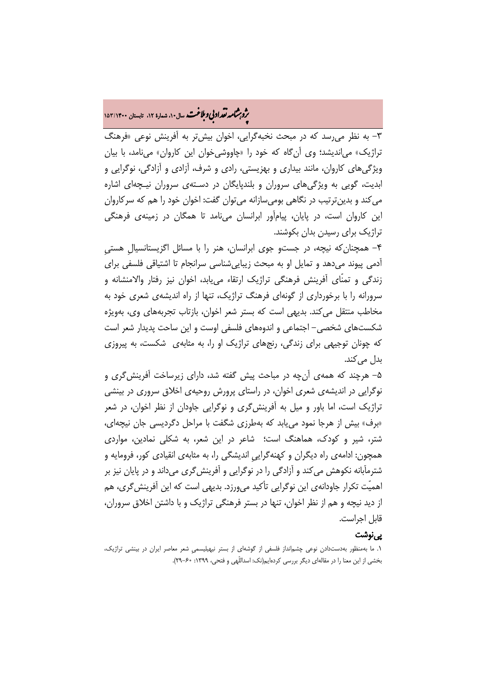# **.<br>بروبرشامه نقد ادبی و ملاغت.** سال۱۰، شماره ۱۲، تابستان ۱۵۳/۱۴۰۰

-3 به نظر میرسد که در مبحث نخبهگرایی، اخوان بیشتر به آفرینش نوعی «فرهنگ تراژیک» میاندیشد؛ وی آنگاه که خود را «چاووشیخوان این کاروان» مینامد، با بیان ویژگیهای کاروان، مانند بیداری و بهزیستی، رادی و شرف، آزادی و آزادگی، نوگرایی و ابدیت، گویی به ویژگیهای سروران و بلندپایگان در دسـتهی سروران نیـچهای اشاره میکند و بدینترتیب در نگاهی بومیسازانه میتوان گفت: اخوان خود را هم که سرکاروان این کاروان است، در پایان، پیامآور ابرانسان مینامد تا همگان در زمینهی فرهنگی تراژیک برای رسیدن بدان بکوشند.

-4 همچنانکه نیچه، در جستو جوی ابرانسان، هنر را با مسائل اگزیستانسیالِ هستیِ آدمی پیوند میدهد و تمایل او به مبحث زیباییشناسی سرانجام تا اشتیاقی فلسفی برای زندگی و تمنّای آفرینش فرهنگی تراژیک ارتقاء مییابد، اخوان نیز رفتار والامنشانه و سرورانه را با برخورداری از گونهای فرهنگ تراژیک، تنها از راه اندیشهی شعری خود به مخاطب منتقل میکند. بدیهی است که بستر شعر اخوان، بازتاب تجربههای وی، بهویژه شکستهای شخصی- اجتماعی و اندوههای فلسفی اوست و این ساحت پدیدار شعر است که چونان توجیهی برای زندگی، رنجهای تراژیک او را، به مثابهی شکست، به پیروزی بدل می کند.

-5 هرچند که همهی آنچه در مباحث پیش گفته شد، دارای زیرساخت آفرینشگری و نوگرایی در اندیشهی شعری اخوان، در راستای پرورش روحیهی اخلاق سروری در بینشی تراژیک است، اما باور و میل به آفرینشگری و نوگرایی جاودان از نظر اخوان، در شعر «برف» بیش از هرجا نمود مییابد که بهطرزی شگفت با مراحل دگردیسی جان نیچهای، شتر، شیر و کودک، هماهنگ است؛ شاعر در این شعر، به شکلی نمادین، مواردی همچون: ادامهی راه دیگران و کهنهگراییِ اندیشگی را، به مثابهی انقیادی کور، فرومایه و شترمآبانه نکوهش میکند و آزادگی را در نوگرایی و آفرینشگری میداند و در پایان نیز بر اهمیّت تکرار جاودانهی این نوگرایی تأکید میورزد. بدیهی است که این آفرینشگری، هم از دید نیچه و هم از نظر اخوان، تنها در بستر فرهنگی تراژیک و با داشتن اخلاق سروران، قابل اجراست.

### پینوشت

<sup>.1</sup> ما بهمنظور بهدستدادن نوعی چشمانداز فلسفی از گوشهای از بستر نیهیلیسمیِ شعر معاصر ایران در بینشی تراژیک، بخشی از این معنا را در مقالهای دیگر بررسی کردهایم(نک: اسداللّهی و فتحی، :1399 29-60).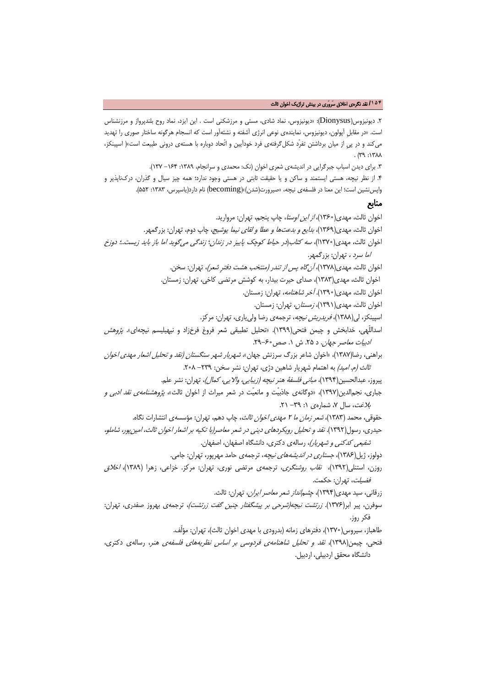#### **/۱۵۴** نقد نگرهی اخلاق سَروَری در بینش تراژیک اخوان ثالث

.2 دیونیزوس(Dionysus(:» دیونیزوس، نماد شادی، مستی و مرزشکنی است . این ایزد، نماد روح بلندپرواز و مرزنشناس است. «در مقابلِ آپولون، دیونیزوس، نمایندهی نوعی انرژی آشفته و نشئهآور است که انسجام هرگونه ساختار صوری را تهدید میکند و در پیِ از میان برداشتن تفرّد شکلگرفتهی فرد خودآیین و اتّحاد دوباره با هستهی درونی طبیعت است»( اسپینکز،  $M^{\gamma}$  :  $M^{\gamma}$ 

.3 برای دیدن اسباب جبرگرایی در اندیشهی شعری اخوان (نک: محمدی و سرانجام، :1389 -164 137). .4 از نظر نیچه، هستی ایستمند و ساکن و یا حقیقت ثابتی در هستی وجود ندارد؛ همه چیز سیال و گذران، درکناپذیر و واپسنشین است؛ این معنا در فلسفهی نیچه، «صیرورت(شدن)»(becoming (نام دارد(یاسپرس، :1383 552).

## منابع

اخوان ثالث، مهدی(۱۳۶۰)، *از این اوستا*، چاپ پنجم، تهران: مروارید. اخوان ثالث، مهدی(1369)، بدایع و بدعتها و عطا و لقای نیما یوشیج، چاپ دوم، تهران: بزرگمهر. اخوان ثالث، مهدی(1370ا)، سه کتاب(در حیاط کوچک پاییز در زندان؛ زندگی میگوید اما باز باید زیست..؛ دوزخ اما سرد ، تهران: بزرگمهر. اخوان ثالث، مهدی(۱۳۷۸)، *آن گاه پس از تندر (منتخب هشت دفتر شعر)*، تهران: سخن. اخوان ثالث، مهدی(1383)، صدای حیرت بیدار، به کوشش مرتضی کاخی، تهران: زمستان. اخوان ثالث، مهدی(1390). آخر شاهنامه، تهران: زمستان. اخوان ثالث، مهدی(1391)، زمستان، تهران: زمستان. اسپینکز، لی(1388)، فریدریش نیچه، ترجمهی رضا ولییاری، تهران: مرکز. اسداللّهی، خدابخش و چیمن فتحی(1399). «تحلیل تطبیقی شعر فروغ فرخزاد و نیهیلیسم نیچهای». پژوهش ادبیات معاصر جهان. د ۲۵. ش ۱. صص۴۰-۲۹. براهنی، رضا(۱۳۸۷)، «اخوان شاعر بزرگ سرزنش جهان»*، شهریار شهر سنگستان (نقد و تحلیل اشعار مهدی اخوان* ثا*لث (م. امید)* به اهتمام شهریار شاهین دژی، تهران: نشر سخن: ٢٣٩– ٢٠٨. پیروز، عبدالحسین(1394)، مبانی فلسفۀ هنر نیچه (زیبایی، والایی، کمال)، تهران: نشر علم. جباری، نجمالدین(1397)، «دوگانهی جاذبیّت و مانعیّت در شعر میراث از اخوان ثالث»، پژوهشنامهی نقد ادبی و  $\mathcal{N}$ . سال ۷، شمارهی ۱: ۳۹– ۲۱. حقوقی، محمد (۱۳۸۳)، *شعر زمان ما ۲ مهدی اخوان ثالث*، چاپ دهم، تهران: مؤسسهی انتشارات نگاه. حیدری، رسول(1392). نقد و تحلیل رویکردهای دینی در شعر معاصر(با تکیه بر اشعار اخوان ثالث، امینپور، شاملو، شفیعی کدکنی و شهریار)، رسالهی دکتری، دانشگاه اصفهان، اصفهان. دولوز، ژیل(۱۳۸۶)، *جستاری در اندیشههای نیچه*، ترجمهی حامد مهرپور، تهران: جامی. روزن، استنلی(1392)، نقاب روشنگری، ترجمهی مرتضی نوری، تهران: مرکز. خزاعی، زهرا (1389)، اخلاق فضیلت، تهران: حکمت. زرقانی، سید مهدی(1394)، چشمانداز شعر معاصر ایران، تهران: ثالث. سوفرن، پیر ابر(۱۳۷۶). *زرتشت نیچه(شرحی بر پیشگفتار چنین گفت زرتشت)*، ترجمهی بهروز صفدری، تهران: فکر روز.

طاهباز، سیروس(1370)، دفترهای زمانه (بدرودی با مهدی اخوان ثالث)، تهران: مؤلّف.

فتحی، چیمن(1398)، نقد و تحلیل شاهنامهی فردوسی بر اساس نظریههای فلسفهی هنر، رسالهی دکتری، دانشگاه محقق اردبیلی، اردبیل.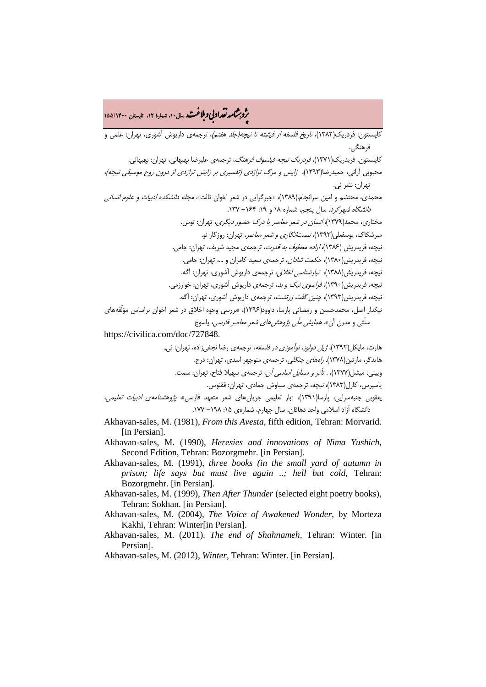# **.<br>بروبرشامه نقد ادبی و بلاغت.** سال۱۰، شماره ۱۲، تابستان ۱۴۰۰/۱۵۵/۱۴۰۰

کاپلستون، فردریک(۱۳۸۲)، *تاریخ فلسفه از فیشته تا نیچه(جلد هفتم)*، ترجمهی داریوش آشوری، تهران: علمی و فرهنگی.

کاپلستون، فریدریک(۱۳۷۱)، *فردریک نیچه فیلسوف فرهنگ،* ترجمهی علیرضا بهبهانی، تهران: بهبهانی.

محبوبی آرانی، حمیدرضا(1393)، زایش و مرگ تراژدی (تفسیری بر زایش تراژدی از درون روح موسیقی نیچه)، تهران: نشر نی.

محمدی، محتشم و امین سرانجام.(1389)، «جبرگرایی در شعر اخوان ثالث»، مجله دانشکده ادبیات و علوم انسانی دانشگاه شهرکرد، سال پنجم، شماره 18 و :19 -164 .137

> مختاری، محمد(1379)، انسان در شعر معاصر یا درک حضور دیگری، تهران: توس. میرشکاک، یوسفعلی(1393)، نیستانگاری و شعر معاصر، تهران: روزگار نو.

نیچه، فریدریش (1386)، اراده معطوف به قدرت، ترجمهی مجید شریف، تهران: جامی.

نیچه، فریدریش(1380)، حکمت شادان، ترجمهی سعید کامران و ،... تهران: جامی.

نیچه، فریدریش(1388)، تبارشناسی اخلاق، ترجمهی داریوش آشوری، تهران: آگه.

- نیچه، فریدریش(1390)، فراسوی نیک و بد، ترجمهی داریوش آشوری، تهران: خوارزمی.
	- نیچه، فریدریش(1393)، چنین گفت زرتشت، ترجمهی داریوش آشوری، تهران: آگه.

نیکدار اصل، محمدحسین و رمضانی پارسا، داوود(1396)، «بررسی وجوه اخلاق در شعر اخوان براساس مؤلّفههای

سنّتی و مدرن آن» *همایش ملّی پژوهشهای شعر معاصر فارسی*، یاسوج

https://civilica.com/doc/727848.

هارت، مایکل(۱۳۹۲)، *ژیل دولوز، نوآموزی در فلسفه*، ترجمهی رضا نجفی;اده، تهران: نی. هایدگر، مارتین(۱۳۷۸). *راههای جنگلی،* ترجمهی منوچهر اسدی، تهران: درج. ویینی، میشل(1377)، . تأتر و مسایل اساسی آن، ترجمهی سهیلا فتاح، تهران: سمت. یاسپرس، کارل(1383)، نیچه، ترجمهی سیاوش جمادی، تهران: ققنوس. یعقوبی جنبهسرایی، پارسا(1391)، «بار تعلیمی جریانهای شعر متعهد فارسی»، پژوهشنامهی ادبیات تعلیمی،

دانشگاه آزاد اسلامی واحد دهاقان، سال چهارم، شمارهی ۱۵: ۱۹۸– ۱۷۷.

- Akhavan-sales, M. (1981), *From this Avesta*, fifth edition, Tehran: Morvarid. [in Persian].
- Akhavan-sales, M. (1990), *Heresies and innovations of Nima Yushich*, Second Edition, Tehran: Bozorgmehr. [in Persian].
- Akhavan-sales, M. (1991), *three books (in the small yard of autumn in prison; life says but must live again ..; hell but cold*, Tehran: Bozorgmehr. [in Persian].
- Akhavan-sales, M. (1999), *Then After Thunder* (selected eight poetry books), Tehran: Sokhan. [in Persian].
- Akhavan-sales, M. (2004), *The Voice of Awakened Wonder*, by Morteza Kakhi, Tehran: Winter[in Persian].
- Akhavan-sales, M. (2011). *The end of Shahnameh*, Tehran: Winter. [in Persian].

Akhavan-sales, M. (2012), *Winter*, Tehran: Winter. [in Persian].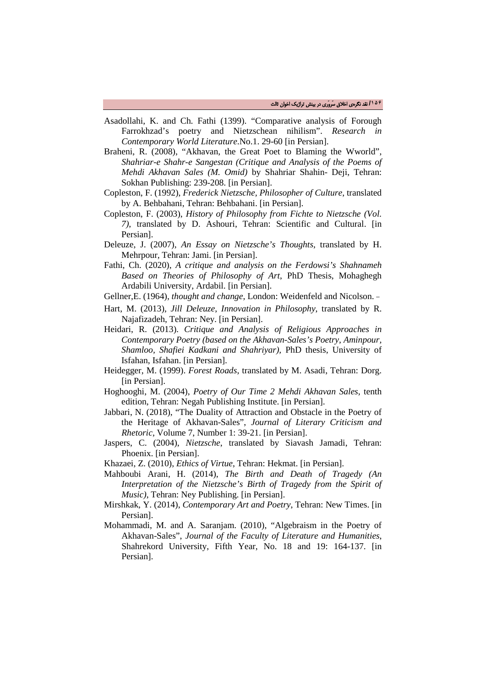- Asadollahi, K. and Ch. Fathi (1399). "Comparative analysis of Forough Farrokhzad's poetry and Nietzschean nihilism". *Research in Contemporary World Literature*.No.1. 29-60 [in Persian].
- Braheni, R. (2008), "Akhavan, the Great Poet to Blaming the Wworld", *Shahriar-e Shahr-e Sangestan (Critique and Analysis of the Poems of Mehdi Akhavan Sales (M. Omid)* by Shahriar Shahin- Deji, Tehran: Sokhan Publishing: 239-208. [in Persian].
- Copleston, F. (1992), *Frederick Nietzsche, Philosopher of Culture*, translated by A. Behbahani, Tehran: Behbahani. [in Persian].
- Copleston, F. (2003), *History of Philosophy from Fichte to Nietzsche (Vol. 7)*, translated by D. Ashouri, Tehran: Scientific and Cultural. [in Persian].
- Deleuze, J. (2007), *An Essay on Nietzsche's Thoughts*, translated by H. Mehrpour, Tehran: Jami. [in Persian].
- Fathi, Ch. (2020), *A critique and analysis on the Ferdowsi's Shahnameh Based on Theories of Philosophy of Art*, PhD Thesis, Mohaghegh Ardabili University, Ardabil. [in Persian].
- Gellner,E. (1964), *thought and change*, London: Weidenfeld and Nicolson. -
- Hart, M. (2013), *Jill Deleuze*, *Innovation in Philosophy*, translated by R. Najafizadeh, Tehran: Ney. [in Persian].
- Heidari, R. (2013). *Critique and Analysis of Religious Approaches in Contemporary Poetry (based on the Akhavan-Sales's Poetry, Aminpour, Shamloo, Shafiei Kadkani and Shahriyar),* PhD thesis, University of Isfahan, Isfahan. [in Persian].
- Heidegger, M. (1999). *Forest Roads*, translated by M. Asadi, Tehran: Dorg. [in Persian].
- Hoghooghi, M. (2004), *Poetry of Our Time 2 Mehdi Akhavan Sales*, tenth edition, Tehran: Negah Publishing Institute. [in Persian].
- Jabbari, N. (2018), "The Duality of Attraction and Obstacle in the Poetry of the Heritage of Akhavan-Sales", *Journal of Literary Criticism and Rhetoric*, Volume 7, Number 1: 39-21. [in Persian].
- Jaspers, C. (2004), *Nietzsche*, translated by Siavash Jamadi, Tehran: Phoenix. [in Persian].
- Khazaei, Z. (2010), *Ethics of Virtue*, Tehran: Hekmat. [in Persian].
- Mahboubi Arani, H. (2014), *The Birth and Death of Tragedy (An Interpretation of the Nietzsche's Birth of Tragedy from the Spirit of Music)*, Tehran: Ney Publishing. [in Persian].
- Mirshkak, Y. (2014), *Contemporary Art and Poetry*, Tehran: New Times. [in Persian].
- Mohammadi, M. and A. Saranjam. (2010), "Algebraism in the Poetry of Akhavan-Sales", *Journal of the Faculty of Literature and Humanities*, Shahrekord University, Fifth Year, No. 18 and 19: 164-137. [in Persian].